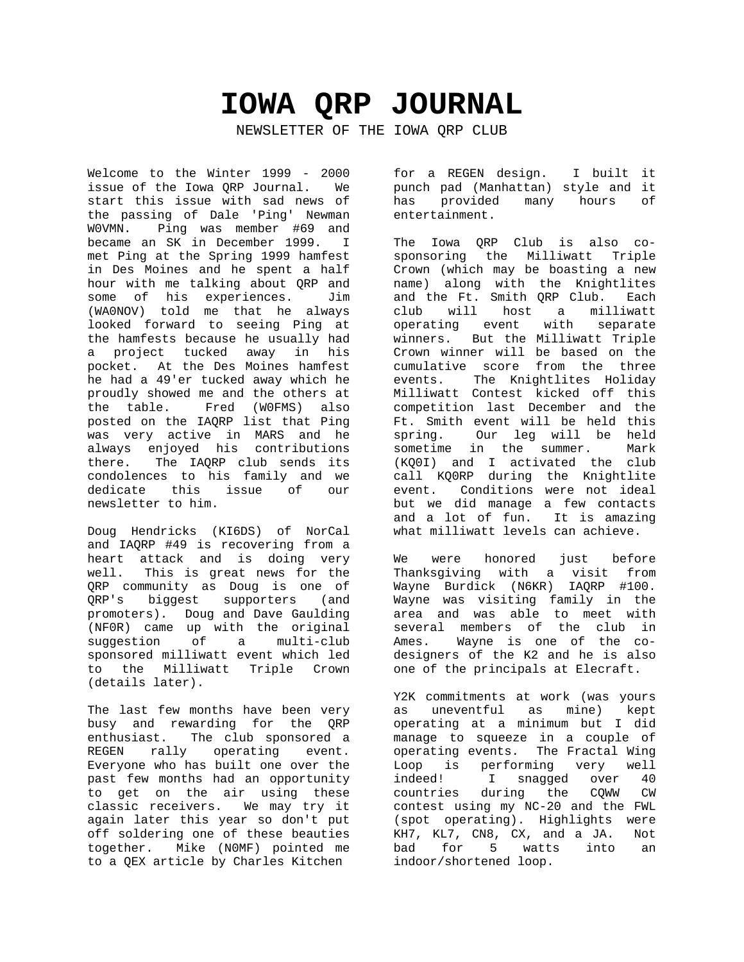# **IOWA QRP JOURNAL**

NEWSLETTER OF THE IOWA QRP CLUB

Welcome to the Winter 1999 - 2000 issue of the Iowa QRP Journal. We start this issue with sad news of the passing of Dale 'Ping' Newman W0VMN. Ping was member #69 and became an SK in December 1999. I met Ping at the Spring 1999 hamfest in Des Moines and he spent a half hour with me talking about QRP and some of his experiences. Jim (WA0NOV) told me that he always looked forward to seeing Ping at the hamfests because he usually had a project tucked away in his pocket. At the Des Moines hamfest he had a 49'er tucked away which he proudly showed me and the others at the table. Fred (W0FMS) also posted on the IAQRP list that Ping was very active in MARS and he always enjoyed his contributions there. The IAQRP club sends its condolences to his family and we dedicate this issue of our newsletter to him.

Doug Hendricks (KI6DS) of NorCal and IAQRP #49 is recovering from a heart attack and is doing very well. This is great news for the QRP community as Doug is one of QRP's biggest supporters (and promoters). Doug and Dave Gaulding (NF0R) came up with the original suggestion of a multi-club sponsored milliwatt event which led to the Milliwatt Triple Crown (details later).

The last few months have been very busy and rewarding for the QRP enthusiast. The club sponsored a REGEN rally operating event. Everyone who has built one over the past few months had an opportunity to get on the air using these classic receivers. We may try it again later this year so don't put off soldering one of these beauties together. Mike (N0MF) pointed me to a QEX article by Charles Kitchen

for a REGEN design. I built it punch pad (Manhattan) style and it has provided many hours of entertainment.

The Iowa QRP Club is also cosponsoring the Milliwatt Triple Crown (which may be boasting a new name) along with the Knightlites and the Ft. Smith QRP Club. Each club will host a milliwatt operating event with separate winners. But the Milliwatt Triple Crown winner will be based on the cumulative score from the three events. The Knightlites Holiday Milliwatt Contest kicked off this competition last December and the Ft. Smith event will be held this spring. Our leg will be held<br>sometime in the summer. Mark sometime in the summer. (KQ0I) and I activated the club call KQ0RP during the Knightlite event. Conditions were not ideal but we did manage a few contacts and a lot of fun. It is amazing what milliwatt levels can achieve.

We were honored just before Thanksgiving with a visit from Wayne Burdick (N6KR) IAQRP #100. Wayne was visiting family in the area and was able to meet with several members of the club in Ames. Wayne is one of the codesigners of the K2 and he is also one of the principals at Elecraft.

Y2K commitments at work (was yours as uneventful as mine) kept operating at a minimum but I did manage to squeeze in a couple of operating events. The Fractal Wing Loop is performing very well indeed! I snagged over 40 countries during the CQWW CW contest using my NC-20 and the FWL (spot operating). Highlights were KH7, KL7, CN8, CX, and a JA. Not bad for 5 watts into an indoor/shortened loop.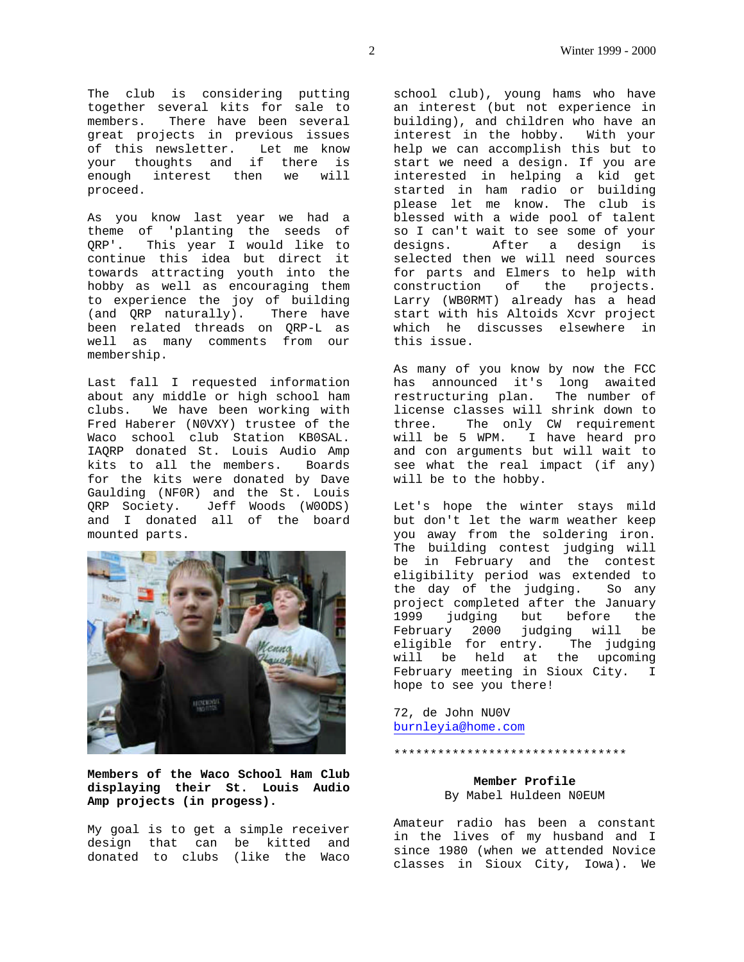The club is considering putting together several kits for sale to members. There have been several great projects in previous issues of this newsletter. Let me know your thoughts and if there is enough interest then we will proceed.

As you know last year we had a theme of 'planting the seeds of QRP'. This year I would like to continue this idea but direct it towards attracting youth into the hobby as well as encouraging them to experience the joy of building (and QRP naturally). There have been related threads on QRP-L as well as many comments from our membership.

Last fall I requested information about any middle or high school ham clubs. We have been working with Fred Haberer (N0VXY) trustee of the Waco school club Station KB0SAL. IAQRP donated St. Louis Audio Amp kits to all the members. Boards for the kits were donated by Dave Gaulding (NF0R) and the St. Louis QRP Society. Jeff Woods (W0ODS) and I donated all of the board mounted parts.



**Members of the Waco School Ham Club displaying their St. Louis Audio Amp projects (in progess).**

My goal is to get a simple receiver design that can be kitted and donated to clubs (like the Waco school club), young hams who have an interest (but not experience in building), and children who have an interest in the hobby. With your help we can accomplish this but to start we need a design. If you are interested in helping a kid get started in ham radio or building please let me know. The club is blessed with a wide pool of talent so I can't wait to see some of your designs. After a design is selected then we will need sources for parts and Elmers to help with construction of the projects. Larry (WB0RMT) already has a head start with his Altoids Xcvr project which he discusses elsewhere in this issue.

As many of you know by now the FCC has announced it's long awaited restructuring plan. The number of license classes will shrink down to three. The only CW requirement will be 5 WPM. I have heard pro and con arguments but will wait to see what the real impact (if any) will be to the hobby.

Let's hope the winter stays mild but don't let the warm weather keep you away from the soldering iron. The building contest judging will be in February and the contest eligibility period was extended to the day of the judging. So any project completed after the January 1999 judging but before the February 2000 judging will be eligible for entry. The judging will be held at the upcoming February meeting in Sioux City. I hope to see you there!

72, de John NU0V burnleyia@home.com

#### \*\*\*\*\*\*\*\*\*\*\*\*\*\*\*\*\*\*\*\*\*\*\*\*\*\*\*\*\*\*\*\*

# **Member Profile** By Mabel Huldeen N0EUM

Amateur radio has been a constant in the lives of my husband and I since 1980 (when we attended Novice classes in Sioux City, Iowa). We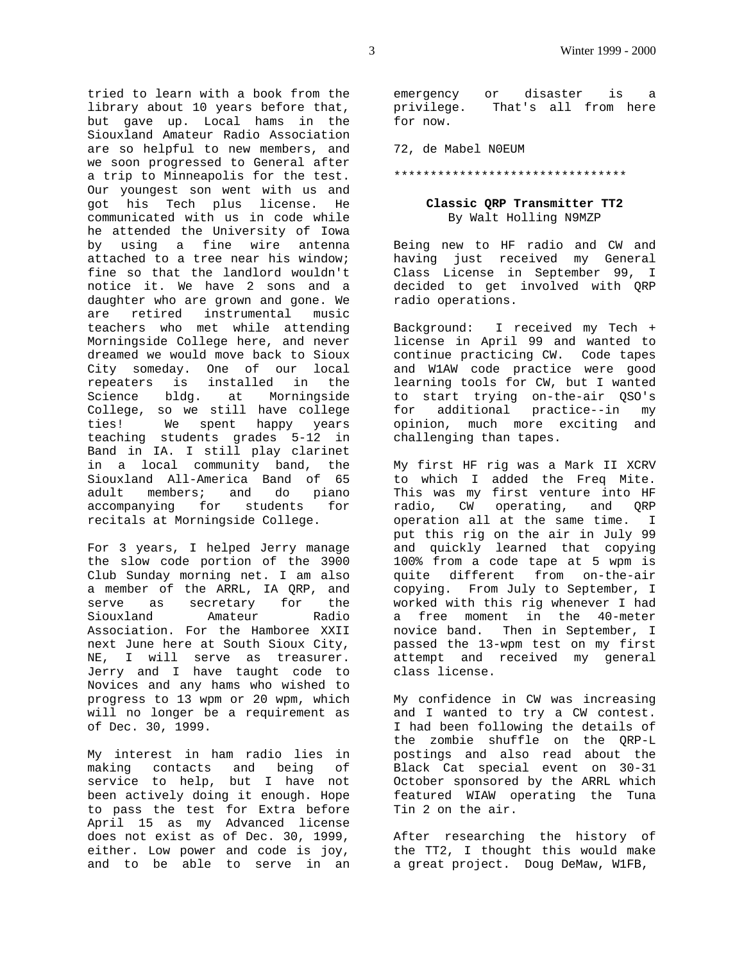tried to learn with a book from the library about 10 years before that, but gave up. Local hams in the Siouxland Amateur Radio Association are so helpful to new members, and we soon progressed to General after a trip to Minneapolis for the test. Our youngest son went with us and got his Tech plus license. He communicated with us in code while he attended the University of Iowa by using a fine wire antenna attached to a tree near his window; fine so that the landlord wouldn't notice it. We have 2 sons and a daughter who are grown and gone. We are retired instrumental music teachers who met while attending Morningside College here, and never dreamed we would move back to Sioux City someday. One of our local repeaters is installed in the Science bldg. at Morningside College, so we still have college ties! We spent happy years teaching students grades 5-12 in Band in IA. I still play clarinet in a local community band, the Siouxland All-America Band of 65 adult members; and do piano accompanying for students for recitals at Morningside College.

For 3 years, I helped Jerry manage the slow code portion of the 3900 Club Sunday morning net. I am also a member of the ARRL, IA QRP, and serve as secretary for the<br>Siouxland Amateur Radio Siouxland Amateur Association. For the Hamboree XXII next June here at South Sioux City, NE, I will serve as treasurer. Jerry and I have taught code to Novices and any hams who wished to progress to 13 wpm or 20 wpm, which will no longer be a requirement as of Dec. 30, 1999.

My interest in ham radio lies in making contacts and being of service to help, but I have not been actively doing it enough. Hope to pass the test for Extra before April 15 as my Advanced license does not exist as of Dec. 30, 1999, either. Low power and code is joy, and to be able to serve in an emergency or disaster is a privilege. That's all from here for now.

72, de Mabel N0EUM

#### \*\*\*\*\*\*\*\*\*\*\*\*\*\*\*\*\*\*\*\*\*\*\*\*\*\*\*\*\*\*\*\*

# **Classic QRP Transmitter TT2** By Walt Holling N9MZP

Being new to HF radio and CW and having just received my General Class License in September 99, I decided to get involved with QRP radio operations.

Background: I received my Tech + license in April 99 and wanted to continue practicing CW. Code tapes and W1AW code practice were good learning tools for CW, but I wanted to start trying on-the-air QSO's for additional practice--in my opinion, much more exciting and challenging than tapes.

My first HF rig was a Mark II XCRV to which I added the Freq Mite. This was my first venture into HF radio, CW operating, and QRP operation all at the same time. I put this rig on the air in July 99 and quickly learned that copying 100% from a code tape at 5 wpm is quite different from on-the-air copying. From July to September, I worked with this rig whenever I had a free moment in the 40-meter novice band. Then in September, I passed the 13-wpm test on my first attempt and received my general class license.

My confidence in CW was increasing and I wanted to try a CW contest. I had been following the details of the zombie shuffle on the QRP-L postings and also read about the Black Cat special event on 30-31 October sponsored by the ARRL which featured WIAW operating the Tuna Tin 2 on the air.

After researching the history of the TT2, I thought this would make a great project. Doug DeMaw, W1FB,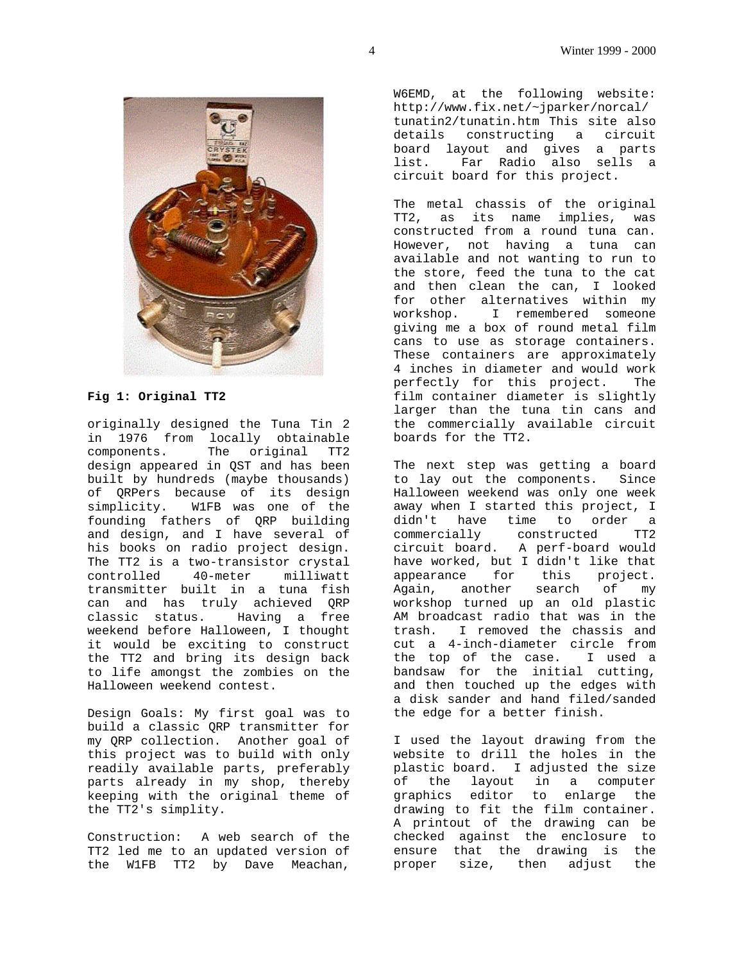

#### **Fig 1: Original TT2**

originally designed the Tuna Tin 2 in 1976 from locally obtainable components. The original TT2 design appeared in QST and has been built by hundreds (maybe thousands) of QRPers because of its design simplicity. W1FB was one of the founding fathers of QRP building and design, and I have several of his books on radio project design. The TT2 is a two-transistor crystal controlled 40-meter milliwatt transmitter built in a tuna fish can and has truly achieved QRP classic status. Having a free weekend before Halloween, I thought it would be exciting to construct the TT2 and bring its design back to life amongst the zombies on the Halloween weekend contest.

Design Goals: My first goal was to build a classic QRP transmitter for my QRP collection. Another goal of this project was to build with only readily available parts, preferably parts already in my shop, thereby keeping with the original theme of the TT2's simplity.

Construction: A web search of the TT2 led me to an updated version of the W1FB TT2 by Dave Meachan,

W6EMD, at the following website: http://www.fix.net/~jparker/norcal/ tunatin2/tunatin.htm This site also details constructing a circuit board layout and gives a parts list. Far Radio also sells a circuit board for this project.

The metal chassis of the original TT2, as its name implies, was constructed from a round tuna can. However, not having a tuna can available and not wanting to run to the store, feed the tuna to the cat and then clean the can, I looked for other alternatives within my workshop. I remembered someone giving me a box of round metal film cans to use as storage containers. These containers are approximately 4 inches in diameter and would work perfectly for this project. The film container diameter is slightly larger than the tuna tin cans and the commercially available circuit boards for the TT2.

The next step was getting a board to lay out the components. Since Halloween weekend was only one week away when I started this project, I didn't have time to order a commercially constructed TT2 circuit board. A perf-board would have worked, but I didn't like that appearance for this project. Again, another search of my Again, another search of my<br>workshop turned up an old plastic AM broadcast radio that was in the trash. I removed the chassis and cut a 4-inch-diameter circle from the top of the case. I used a bandsaw for the initial cutting, and then touched up the edges with a disk sander and hand filed/sanded the edge for a better finish.

I used the layout drawing from the website to drill the holes in the plastic board. I adjusted the size of the layout in a computer graphics editor to enlarge the drawing to fit the film container. A printout of the drawing can be checked against the enclosure to ensure that the drawing is the proper size, then adjust the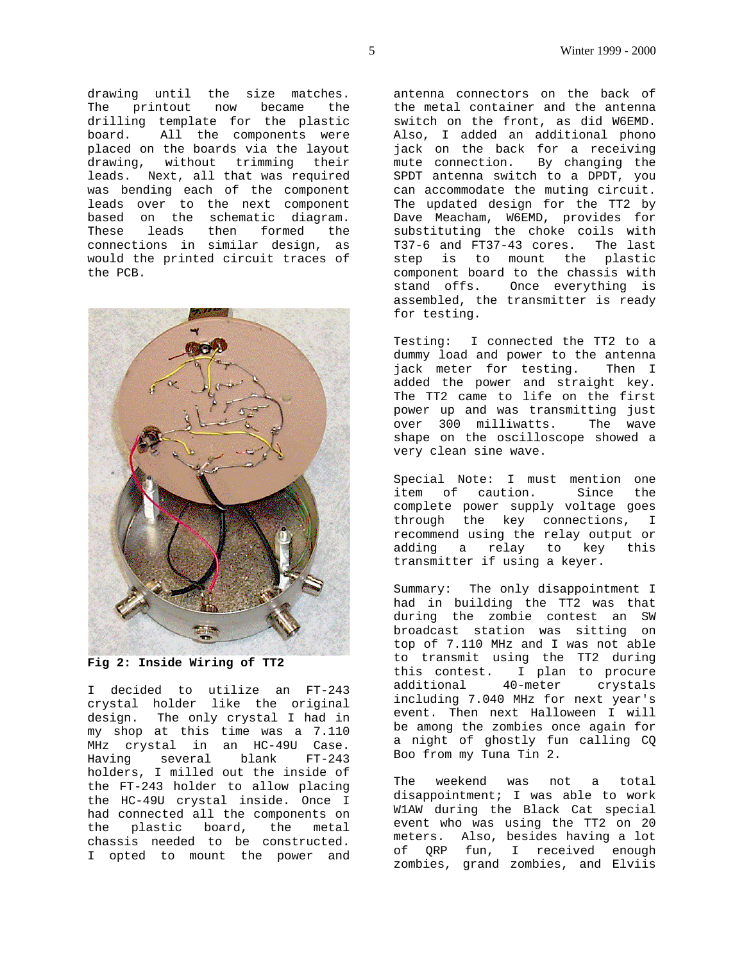drawing until the size matches. The printout now became the drilling template for the plastic board. All the components were placed on the boards via the layout drawing, without trimming their leads. Next, all that was required was bending each of the component leads over to the next component based on the schematic diagram. These leads then formed the connections in similar design, as would the printed circuit traces of the PCB.



**Fig 2: Inside Wiring of TT2**

I decided to utilize an FT-243 crystal holder like the original design. The only crystal I had in my shop at this time was a 7.110 MHz crystal in an HC-49U Case. Having several blank FT-243 holders, I milled out the inside of the FT-243 holder to allow placing the HC-49U crystal inside. Once I had connected all the components on the plastic board, the metal chassis needed to be constructed. I opted to mount the power and antenna connectors on the back of the metal container and the antenna switch on the front, as did W6EMD. Also, I added an additional phono jack on the back for a receiving mute connection. By changing the SPDT antenna switch to a DPDT, you can accommodate the muting circuit. The updated design for the TT2 by Dave Meacham, W6EMD, provides for substituting the choke coils with T37-6 and FT37-43 cores. The last step is to mount the plastic component board to the chassis with stand offs. Once everything is assembled, the transmitter is ready for testing.

Testing: I connected the TT2 to a dummy load and power to the antenna jack meter for testing. Then I added the power and straight key. The TT2 came to life on the first power up and was transmitting just over 300 milliwatts. The wave shape on the oscilloscope showed a very clean sine wave.

Special Note: I must mention one item of caution. Since the complete power supply voltage goes through the key connections, I recommend using the relay output or adding a relay to key this transmitter if using a keyer.

Summary: The only disappointment I had in building the TT2 was that during the zombie contest an SW broadcast station was sitting on top of 7.110 MHz and I was not able to transmit using the TT2 during this contest. I plan to procure additional 40-meter crystals including 7.040 MHz for next year's event. Then next Halloween I will be among the zombies once again for a night of ghostly fun calling CQ Boo from my Tuna Tin 2.

The weekend was not a total disappointment; I was able to work W1AW during the Black Cat special event who was using the TT2 on 20 meters. Also, besides having a lot of QRP fun, I received enough zombies, grand zombies, and Elviis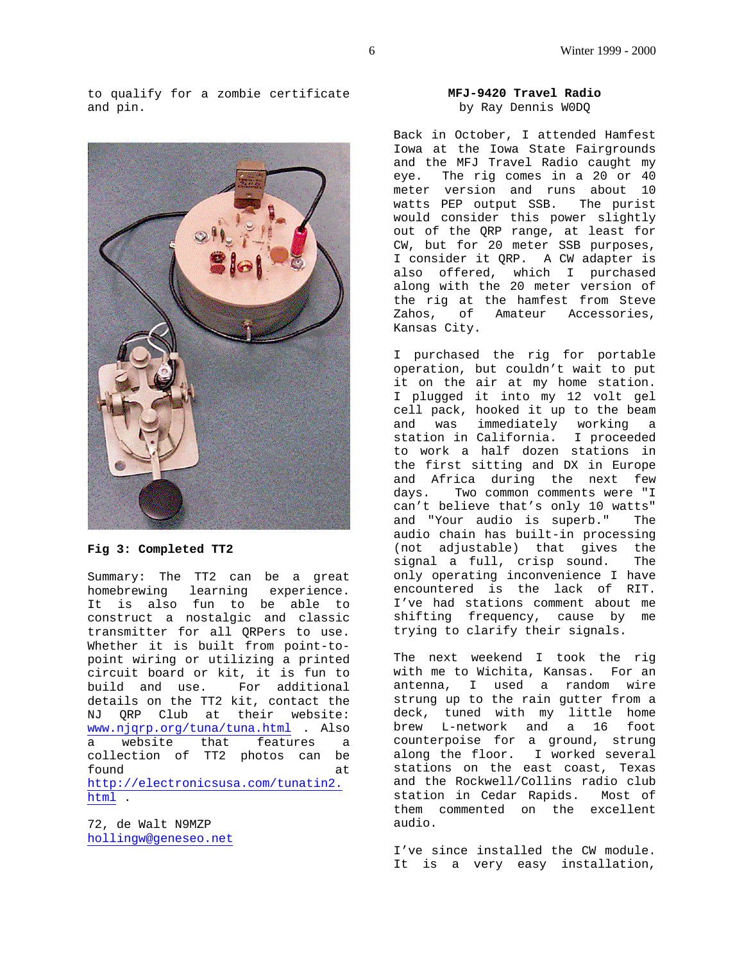to qualify for a zombie certificate and pin.



**Fig 3: Completed TT2**

Summary: The TT2 can be a great homebrewing learning experience. It is also fun to be able to construct a nostalgic and classic transmitter for all QRPers to use. Whether it is built from point-topoint wiring or utilizing a printed circuit board or kit, it is fun to build and use. For additional details on the TT2 kit, contact the NJ QRP Club at their website: www.njqrp.org/tuna/tuna.html . Also a website that features a collection of TT2 photos can be found at http://electronicsusa.com/tunatin2. html .

72, de Walt N9MZP hollingw@geneseo.net

# **MFJ-9420 Travel Radio** by Ray Dennis W0DQ

Back in October, I attended Hamfest Iowa at the Iowa State Fairgrounds and the MFJ Travel Radio caught my eye. The rig comes in a 20 or 40 meter version and runs about 10 watts PEP output SSB. The purist would consider this power slightly out of the QRP range, at least for CW, but for 20 meter SSB purposes, I consider it QRP. A CW adapter is also offered, which I purchased along with the 20 meter version of the rig at the hamfest from Steve Zahos, of Amateur Accessories, Kansas City.

I purchased the rig for portable operation, but couldn't wait to put it on the air at my home station. I plugged it into my 12 volt gel cell pack, hooked it up to the beam and was immediately working a station in California. I proceeded to work a half dozen stations in the first sitting and DX in Europe and Africa during the next few days. Two common comments were "I can't believe that's only 10 watts" and "Your audio is superb." The audio chain has built-in processing (not adjustable) that gives the signal a full, crisp sound. The only operating inconvenience I have encountered is the lack of RIT. I've had stations comment about me shifting frequency, cause by me trying to clarify their signals.

The next weekend I took the rig with me to Wichita, Kansas. For an antenna, I used a random wire strung up to the rain gutter from a deck, tuned with my little home brew L-network and a 16 foot counterpoise for a ground, strung along the floor. I worked several stations on the east coast, Texas and the Rockwell/Collins radio club station in Cedar Rapids. Most of them commented on the excellent audio.

I've since installed the CW module. It is a very easy installation,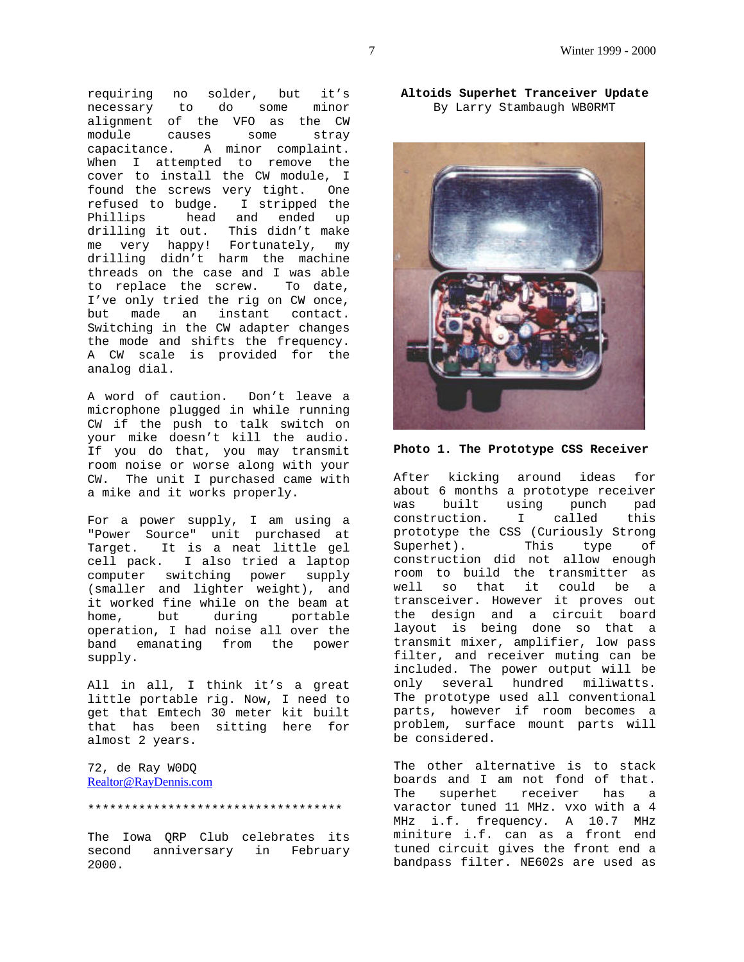requiring no solder, but it's necessary to do some minor alignment of the VFO as the CW module causes some stray capacitance. A minor complaint. When I attempted to remove the cover to install the CW module, I found the screws very tight. One refused to budge. I stripped the Phillips head and ended up drilling it out. This didn't make me very happy! Fortunately, my drilling didn't harm the machine threads on the case and I was able to replace the screw. To date, I've only tried the rig on CW once, but made an instant contact. Switching in the CW adapter changes the mode and shifts the frequency. A CW scale is provided for the analog dial.

A word of caution. Don't leave a microphone plugged in while running CW if the push to talk switch on your mike doesn't kill the audio. If you do that, you may transmit room noise or worse along with your CW. The unit I purchased came with a mike and it works properly.

For a power supply, I am using a "Power Source" unit purchased at Target. It is a neat little gel cell pack. I also tried a laptop computer switching power supply (smaller and lighter weight), and it worked fine while on the beam at home, but during portable operation, I had noise all over the band emanating from the power supply.

All in all, I think it's a great little portable rig. Now, I need to get that Emtech 30 meter kit built that has been sitting here for almost 2 years.

72, de Ray W0DQ Realtor@RayDennis.com

#### \*\*\*\*\*\*\*\*\*\*\*\*\*\*\*\*\*\*\*\*\*\*\*\*\*\*\*\*\*\*\*\*\*\*\*

The Iowa QRP Club celebrates its second anniversary in February 2000.

**Altoids Superhet Tranceiver Update** By Larry Stambaugh WB0RMT



**Photo 1. The Prototype CSS Receiver**

After kicking around ideas for about 6 months a prototype receiver was built using punch pad construction. I called this prototype the CSS (Curiously Strong Superhet). This type of construction did not allow enough room to build the transmitter as well so that it could be a transceiver. However it proves out the design and a circuit board layout is being done so that a transmit mixer, amplifier, low pass filter, and receiver muting can be included. The power output will be only several hundred miliwatts. The prototype used all conventional parts, however if room becomes a problem, surface mount parts will be considered.

The other alternative is to stack boards and I am not fond of that. The superhet receiver has a varactor tuned 11 MHz. vxo with a 4 MHz i.f. frequency. A 10.7 MHz miniture i.f. can as a front end tuned circuit gives the front end a bandpass filter. NE602s are used as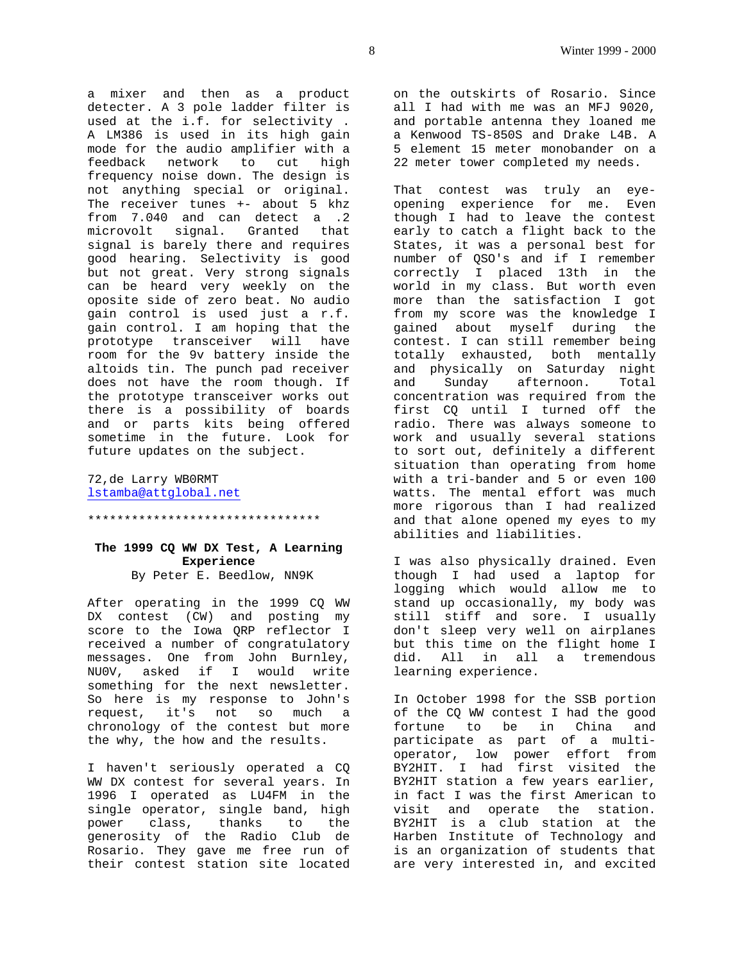a mixer and then as a product detecter. A 3 pole ladder filter is used at the i.f. for selectivity . A LM386 is used in its high gain mode for the audio amplifier with a feedback network to cut high frequency noise down. The design is not anything special or original. The receiver tunes +- about 5 khz from 7.040 and can detect a .2 microvolt signal. Granted that signal is barely there and requires good hearing. Selectivity is good but not great. Very strong signals can be heard very weekly on the oposite side of zero beat. No audio gain control is used just a r.f. gain control. I am hoping that the prototype transceiver will have room for the 9v battery inside the altoids tin. The punch pad receiver does not have the room though. If the prototype transceiver works out there is a possibility of boards and or parts kits being offered sometime in the future. Look for future updates on the subject.

72,de Larry WB0RMT lstamba@attglobal.net

#### \*\*\*\*\*\*\*\*\*\*\*\*\*\*\*\*\*\*\*\*\*\*\*\*\*\*\*\*\*\*\*\*

# **The 1999 CQ WW DX Test, A Learning Experience**

By Peter E. Beedlow, NN9K

After operating in the 1999 CQ WW DX contest (CW) and posting my score to the Iowa QRP reflector I received a number of congratulatory messages. One from John Burnley, NU0V, asked if I would write something for the next newsletter. So here is my response to John's request, it's not so much a chronology of the contest but more the why, the how and the results.

I haven't seriously operated a CQ WW DX contest for several years. In 1996 I operated as LU4FM in the single operator, single band, high power class, thanks to the generosity of the Radio Club de Rosario. They gave me free run of their contest station site located

on the outskirts of Rosario. Since all I had with me was an MFJ 9020, and portable antenna they loaned me a Kenwood TS-850S and Drake L4B. A 5 element 15 meter monobander on a 22 meter tower completed my needs.

That contest was truly an eyeopening experience for me. Even though I had to leave the contest early to catch a flight back to the States, it was a personal best for number of QSO's and if I remember correctly I placed 13th in the world in my class. But worth even more than the satisfaction I got from my score was the knowledge I gained about myself during the contest. I can still remember being totally exhausted, both mentally and physically on Saturday night and Sunday afternoon. Total concentration was required from the first CQ until I turned off the radio. There was always someone to work and usually several stations to sort out, definitely a different situation than operating from home with a tri-bander and 5 or even 100 watts. The mental effort was much more rigorous than I had realized and that alone opened my eyes to my abilities and liabilities.

I was also physically drained. Even though I had used a laptop for logging which would allow me to stand up occasionally, my body was still stiff and sore. I usually don't sleep very well on airplanes but this time on the flight home I did. All in all a tremendous learning experience.

In October 1998 for the SSB portion of the CQ WW contest I had the good fortune to be in China and participate as part of a multioperator, low power effort from BY2HIT. I had first visited the BY2HIT station a few years earlier, in fact I was the first American to visit and operate the station. BY2HIT is a club station at the Harben Institute of Technology and is an organization of students that are very interested in, and excited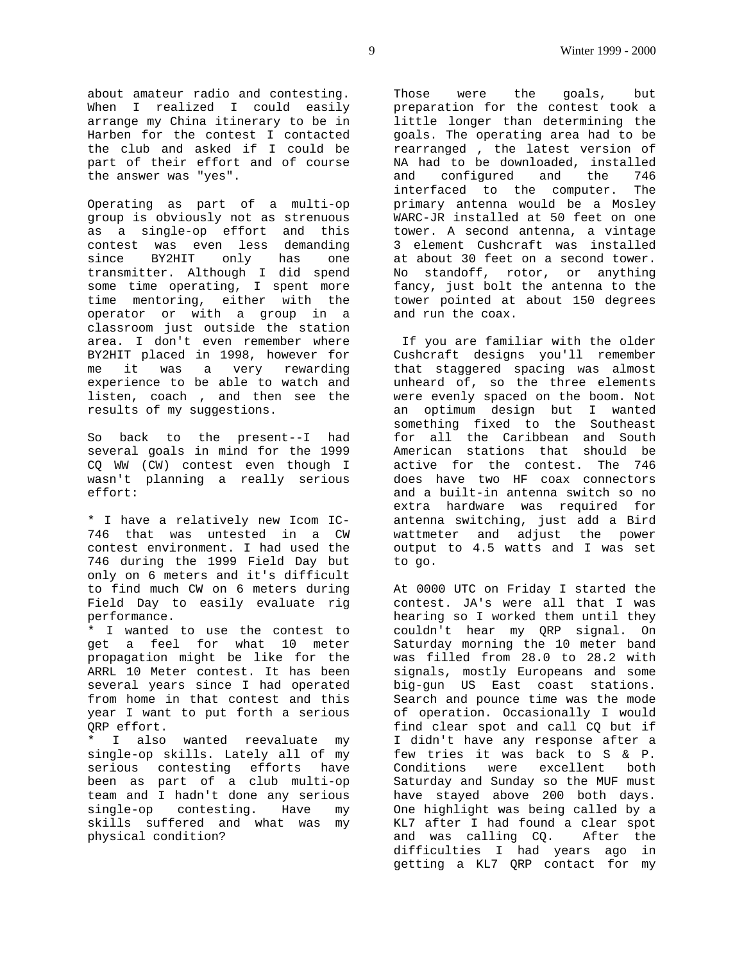about amateur radio and contesting. When I realized I could easily arrange my China itinerary to be in Harben for the contest I contacted the club and asked if I could be part of their effort and of course the answer was "yes".

Operating as part of a multi-op group is obviously not as strenuous as a single-op effort and this contest was even less demanding since BY2HIT only has one transmitter. Although I did spend some time operating, I spent more time mentoring, either with the operator or with a group in a classroom just outside the station area. I don't even remember where BY2HIT placed in 1998, however for me it was a very rewarding experience to be able to watch and listen, coach , and then see the results of my suggestions.

So back to the present--I had several goals in mind for the 1999 CQ WW (CW) contest even though I wasn't planning a really serious effort:

\* I have a relatively new Icom IC-746 that was untested in a CW contest environment. I had used the 746 during the 1999 Field Day but only on 6 meters and it's difficult to find much CW on 6 meters during Field Day to easily evaluate rig performance.

\* I wanted to use the contest to get a feel for what 10 meter propagation might be like for the ARRL 10 Meter contest. It has been several years since I had operated from home in that contest and this year I want to put forth a serious QRP effort.

I also wanted reevaluate my single-op skills. Lately all of my serious contesting efforts have been as part of a club multi-op team and I hadn't done any serious single-op contesting. Have my skills suffered and what was my physical condition?

Those were the goals, but preparation for the contest took a little longer than determining the goals. The operating area had to be rearranged , the latest version of NA had to be downloaded, installed and configured and the 746 interfaced to the computer. The primary antenna would be a Mosley WARC-JR installed at 50 feet on one tower. A second antenna, a vintage 3 element Cushcraft was installed at about 30 feet on a second tower. No standoff, rotor, or anything fancy, just bolt the antenna to the tower pointed at about 150 degrees and run the coax.

 If you are familiar with the older Cushcraft designs you'll remember that staggered spacing was almost unheard of, so the three elements were evenly spaced on the boom. Not an optimum design but I wanted something fixed to the Southeast for all the Caribbean and South American stations that should be active for the contest. The 746 does have two HF coax connectors and a built-in antenna switch so no extra hardware was required for antenna switching, just add a Bird wattmeter and adjust the power output to 4.5 watts and I was set to go.

At 0000 UTC on Friday I started the contest. JA's were all that I was hearing so I worked them until they couldn't hear my QRP signal. On Saturday morning the 10 meter band was filled from 28.0 to 28.2 with signals, mostly Europeans and some big-gun US East coast stations. Search and pounce time was the mode of operation. Occasionally I would find clear spot and call CQ but if I didn't have any response after a few tries it was back to S & P. Conditions were excellent both Saturday and Sunday so the MUF must have stayed above 200 both days. One highlight was being called by a KL7 after I had found a clear spot and was calling CQ. After the difficulties I had years ago in getting a KL7 QRP contact for my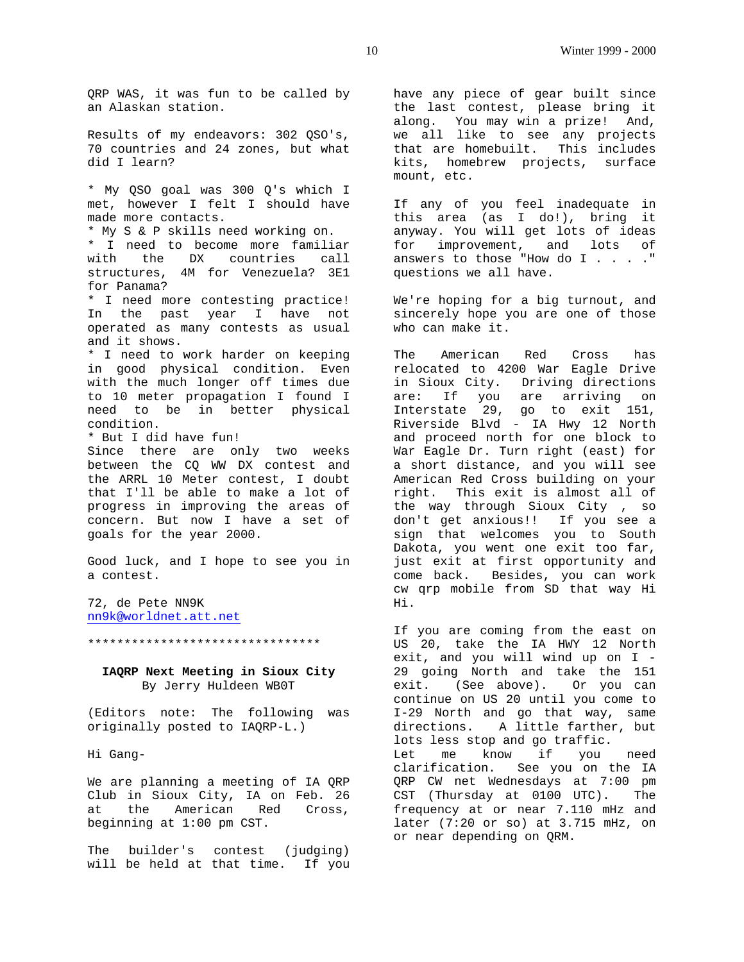QRP WAS, it was fun to be called by an Alaskan station.

Results of my endeavors: 302 QSO's, 70 countries and 24 zones, but what did I learn?

\* My QSO goal was 300 Q's which I met, however I felt I should have made more contacts. \* My S & P skills need working on. \* I need to become more familiar with the DX countries call structures, 4M for Venezuela? 3E1 for Panama? \* I need more contesting practice! In the past year I have not operated as many contests as usual and it shows. \* I need to work harder on keeping in good physical condition. Even with the much longer off times due to 10 meter propagation I found I need to be in better physical condition. \* But I did have fun! Since there are only two weeks between the CQ WW DX contest and the ARRL 10 Meter contest, I doubt that I'll be able to make a lot of progress in improving the areas of concern. But now I have a set of goals for the year 2000.

Good luck, and I hope to see you in a contest.

72, de Pete NN9K nn9k@worldnet.att.net

#### \*\*\*\*\*\*\*\*\*\*\*\*\*\*\*\*\*\*\*\*\*\*\*\*\*\*\*\*\*\*\*\*

**IAQRP Next Meeting in Sioux City** By Jerry Huldeen WB0T

(Editors note: The following was originally posted to IAQRP-L.)

Hi Gang-

We are planning a meeting of IA QRP Club in Sioux City, IA on Feb. 26 at the American Red Cross, beginning at 1:00 pm CST.

The builder's contest (judging) will be held at that time. If you have any piece of gear built since the last contest, please bring it along. You may win a prize! And, we all like to see any projects that are homebuilt. This includes kits, homebrew projects, surface mount, etc.

If any of you feel inadequate in this area (as I do!), bring it anyway. You will get lots of ideas for improvement, and lots of answers to those "How do I . . . . " questions we all have.

We're hoping for a big turnout, and sincerely hope you are one of those who can make it.

The American Red Cross has relocated to 4200 War Eagle Drive in Sioux City. Driving directions are: If you are arriving on Interstate 29, go to exit 151, Riverside Blvd - IA Hwy 12 North and proceed north for one block to War Eagle Dr. Turn right (east) for a short distance, and you will see American Red Cross building on your right. This exit is almost all of the way through Sioux City , so don't get anxious!! If you see a sign that welcomes you to South Dakota, you went one exit too far, just exit at first opportunity and come back. Besides, you can work cw qrp mobile from SD that way Hi Hi.

If you are coming from the east on US 20, take the IA HWY 12 North exit, and you will wind up on I - 29 going North and take the 151 exit. (See above). Or you can continue on US 20 until you come to I-29 North and go that way, same directions. A little farther, but lots less stop and go traffic. Let me know if you need clarification. See you on the IA QRP CW net Wednesdays at 7:00 pm CST (Thursday at 0100 UTC). The frequency at or near 7.110 mHz and later (7:20 or so) at 3.715 mHz, on or near depending on QRM.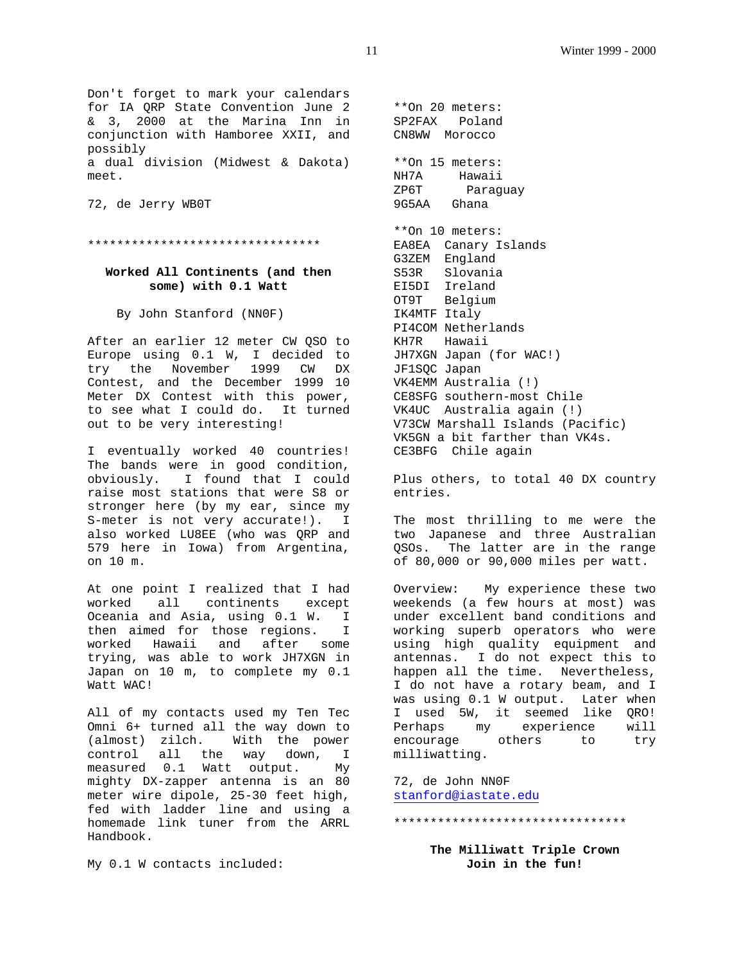Don't forget to mark your calendars for IA QRP State Convention June 2 & 3, 2000 at the Marina Inn in conjunction with Hamboree XXII, and possibly a dual division (Midwest & Dakota) meet.

72, de Jerry WB0T

\*\*\*\*\*\*\*\*\*\*\*\*\*\*\*\*\*\*\*\*\*\*\*\*\*\*\*\*\*\*\*\*

#### **Worked All Continents (and then some) with 0.1 Watt**

By John Stanford (NN0F)

After an earlier 12 meter CW QSO to Europe using 0.1 W, I decided to try the November 1999 CW DX Contest, and the December 1999 10 Meter DX Contest with this power, to see what I could do. It turned out to be very interesting!

I eventually worked 40 countries! The bands were in good condition, obviously. I found that I could raise most stations that were S8 or stronger here (by my ear, since my S-meter is not very accurate!). I also worked LU8EE (who was QRP and 579 here in Iowa) from Argentina, on 10 m.

At one point I realized that I had worked all continents except Oceania and Asia, using 0.1 W. I then aimed for those regions. I worked Hawaii and after some trying, was able to work JH7XGN in Japan on 10 m, to complete my 0.1 Watt WAC!

All of my contacts used my Ten Tec Omni 6+ turned all the way down to (almost) zilch. With the power control all the way down, I measured 0.1 Watt output. My mighty DX-zapper antenna is an 80 meter wire dipole, 25-30 feet high, fed with ladder line and using a homemade link tuner from the ARRL Handbook.

My 0.1 W contacts included:

\*\*On 20 meters: SP2FAX Poland CN8WW Morocco \*\*On 15 meters: NH7A Hawaii ZP6T Paraguay 9G5AA Ghana \*\*On 10 meters: EA8EA Canary Islands G3ZEM England S53R Slovania EI5DI Ireland OT9T Belgium IK4MTF Italy PI4COM Netherlands KH7R Hawaii JH7XGN Japan (for WAC!) JF1SQC Japan VK4EMM Australia (!) CE8SFG southern-most Chile VK4UC Australia again (!) V73CW Marshall Islands (Pacific) VK5GN a bit farther than VK4s. CE3BFG Chile again

Plus others, to total 40 DX country entries.

The most thrilling to me were the two Japanese and three Australian QSOs. The latter are in the range of 80,000 or 90,000 miles per watt.

Overview: My experience these two weekends (a few hours at most) was under excellent band conditions and working superb operators who were using high quality equipment and antennas. I do not expect this to happen all the time. Nevertheless, I do not have a rotary beam, and I was using 0.1 W output. Later when I used 5W, it seemed like QRO! Perhaps my experience will encourage others to try milliwatting.

72, de John NN0F stanford@iastate.edu

\*\*\*\*\*\*\*\*\*\*\*\*\*\*\*\*\*\*\*\*\*\*\*\*\*\*\*\*\*\*\*\*

**The Milliwatt Triple Crown Join in the fun!**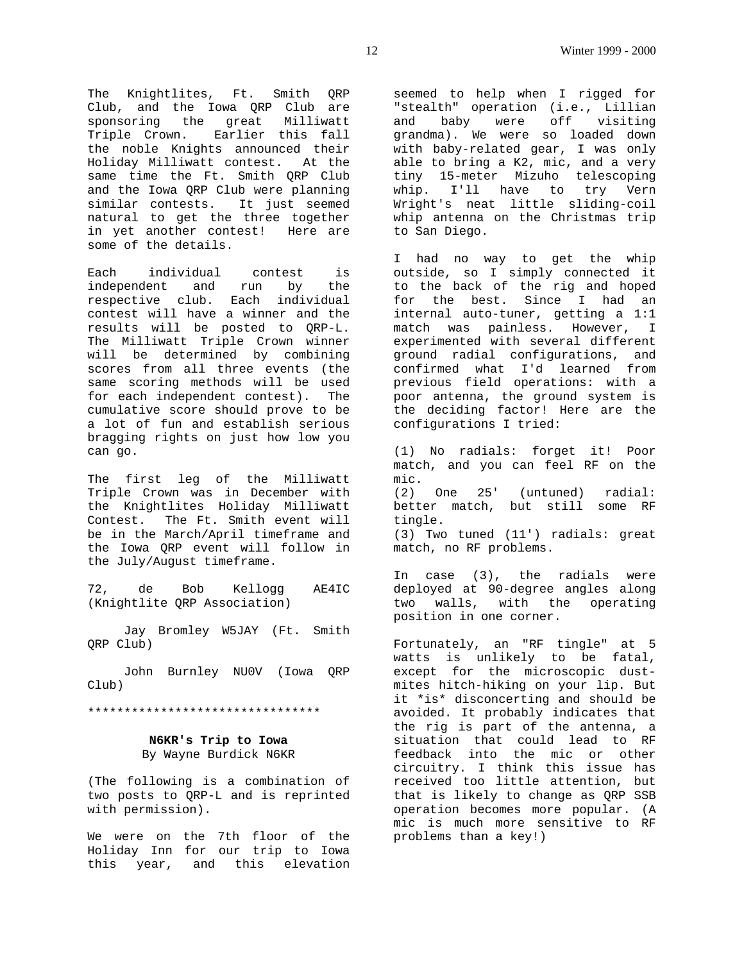The Knightlites, Ft. Smith QRP Club, and the Iowa QRP Club are sponsoring the great Milliwatt Triple Crown. Earlier this fall the noble Knights announced their Holiday Milliwatt contest. At the same time the Ft. Smith QRP Club and the Iowa QRP Club were planning similar contests. It just seemed natural to get the three together in yet another contest! Here are some of the details.

Each individual contest is independent and run by the respective club. Each individual contest will have a winner and the results will be posted to QRP-L. The Milliwatt Triple Crown winner will be determined by combining scores from all three events (the same scoring methods will be used for each independent contest). The cumulative score should prove to be a lot of fun and establish serious bragging rights on just how low you can go.

The first leg of the Milliwatt Triple Crown was in December with the Knightlites Holiday Milliwatt Contest. The Ft. Smith event will be in the March/April timeframe and the Iowa QRP event will follow in the July/August timeframe.

72, de Bob Kellogg AE4IC (Knightlite QRP Association)

 Jay Bromley W5JAY (Ft. Smith QRP Club)

 John Burnley NU0V (Iowa QRP Club)

\*\*\*\*\*\*\*\*\*\*\*\*\*\*\*\*\*\*\*\*\*\*\*\*\*\*\*\*\*\*\*\*

# **N6KR's Trip to Iowa** By Wayne Burdick N6KR

(The following is a combination of two posts to QRP-L and is reprinted with permission).

We were on the 7th floor of the Holiday Inn for our trip to Iowa this year, and this elevation

seemed to help when I rigged for "stealth" operation (i.e., Lillian and baby were off visiting grandma). We were so loaded down with baby-related gear, I was only able to bring a K2, mic, and a very tiny 15-meter Mizuho telescoping whip. I'll have to try Vern Wright's neat little sliding-coil whip antenna on the Christmas trip to San Diego.

I had no way to get the whip outside, so I simply connected it to the back of the rig and hoped for the best. Since I had an internal auto-tuner, getting a 1:1 match was painless. However, I experimented with several different ground radial configurations, and confirmed what I'd learned from previous field operations: with a poor antenna, the ground system is the deciding factor! Here are the configurations I tried:

(1) No radials: forget it! Poor match, and you can feel RF on the mic. (2) One 25' (untuned) radial: better match, but still some RF tingle. (3) Two tuned (11') radials: great match, no RF problems.

In case (3), the radials were deployed at 90-degree angles along two walls, with the operating position in one corner.

Fortunately, an "RF tingle" at 5 watts is unlikely to be fatal, except for the microscopic dustmites hitch-hiking on your lip. But it \*is\* disconcerting and should be avoided. It probably indicates that the rig is part of the antenna, a situation that could lead to RF feedback into the mic or other circuitry. I think this issue has received too little attention, but that is likely to change as QRP SSB operation becomes more popular. (A mic is much more sensitive to RF problems than a key!)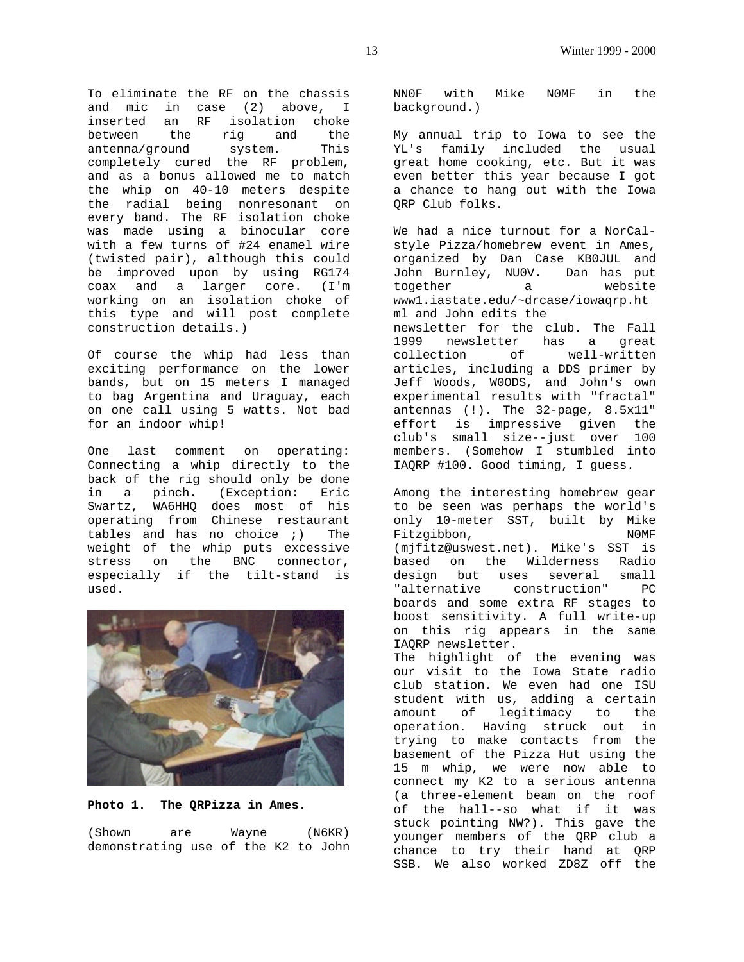To eliminate the RF on the chassis and mic in case (2) above, I inserted an RF isolation choke between the rig and the antenna/ground system. This completely cured the RF problem, and as a bonus allowed me to match the whip on 40-10 meters despite the radial being nonresonant on every band. The RF isolation choke was made using a binocular core with a few turns of #24 enamel wire (twisted pair), although this could be improved upon by using RG174 coax and a larger core. (I'm working on an isolation choke of this type and will post complete construction details.)

Of course the whip had less than exciting performance on the lower bands, but on 15 meters I managed to bag Argentina and Uraguay, each on one call using 5 watts. Not bad for an indoor whip!

One last comment on operating: Connecting a whip directly to the back of the rig should only be done in a pinch. (Exception: Eric Swartz, WA6HHQ does most of his operating from Chinese restaurant tables and has no choice ;) The weight of the whip puts excessive stress on the BNC connector, especially if the tilt-stand is used.



#### **Photo 1. The QRPizza in Ames.**

(Shown are Wayne (N6KR) demonstrating use of the K2 to John NN0F with Mike N0MF in the background.)

My annual trip to Iowa to see the YL's family included the usual great home cooking, etc. But it was even better this year because I got a chance to hang out with the Iowa QRP Club folks.

We had a nice turnout for a NorCalstyle Pizza/homebrew event in Ames, organized by Dan Case KB0JUL and John Burnley, NU0V. Dan has put together a website www1.iastate.edu/~drcase/iowaqrp.ht ml and John edits the newsletter for the club. The Fall 1999 newsletter has a great collection of well-written articles, including a DDS primer by Jeff Woods, W0ODS, and John's own experimental results with "fractal" antennas (!). The 32-page, 8.5x11" effort is impressive given the club's small size--just over 100 members. (Somehow I stumbled into IAQRP #100. Good timing, I guess.

Among the interesting homebrew gear to be seen was perhaps the world's only 10-meter SST, built by Mike Fitzgibbon, NOMF (mjfitz@uswest.net). Mike's SST is based on the Wilderness Radio design but uses several small "alternative construction" PC boards and some extra RF stages to boost sensitivity. A full write-up on this rig appears in the same IAQRP newsletter. The highlight of the evening was

our visit to the Iowa State radio club station. We even had one ISU student with us, adding a certain amount of legitimacy to the operation. Having struck out in trying to make contacts from the basement of the Pizza Hut using the 15 m whip, we were now able to connect my K2 to a serious antenna (a three-element beam on the roof of the hall--so what if it was stuck pointing NW?). This gave the younger members of the QRP club a chance to try their hand at QRP SSB. We also worked ZD8Z off the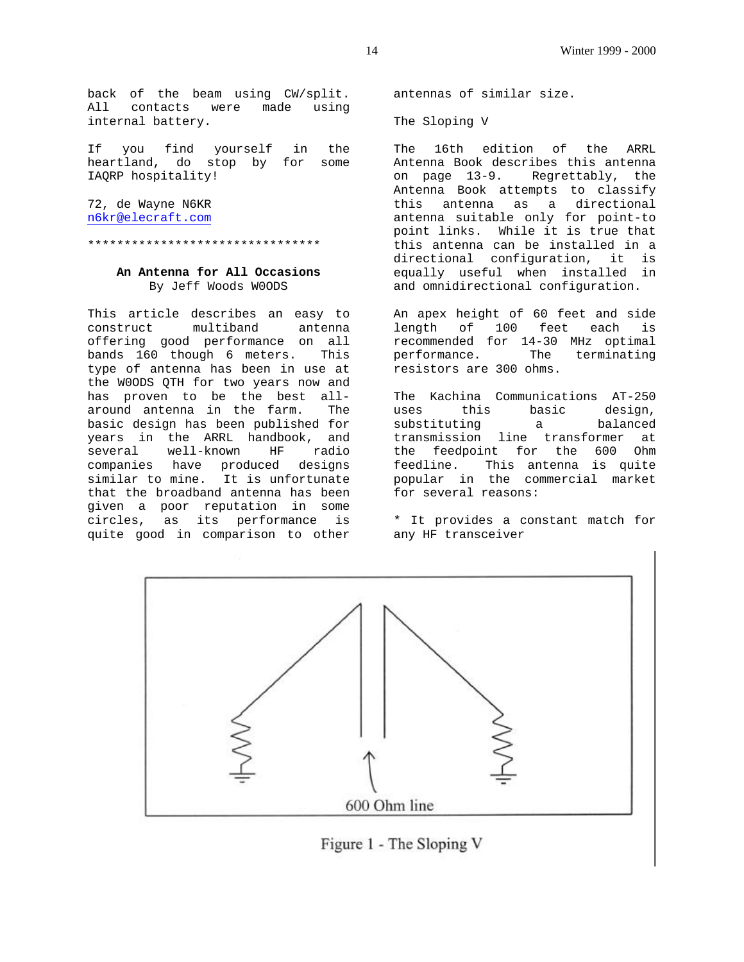back of the beam using CW/split. All contacts were made using internal battery.

If you find yourself in the heartland, do stop by for some IAQRP hospitality!

72, de Wayne N6KR n6kr@elecraft.com

\*\*\*\*\*\*\*\*\*\*\*\*\*\*\*\*\*\*\*\*\*\*\*\*\*\*\*\*\*\*\*\*

# **An Antenna for All Occasions** By Jeff Woods W0ODS

This article describes an easy to construct multiband antenna offering good performance on all bands 160 though 6 meters. This type of antenna has been in use at the W0ODS QTH for two years now and has proven to be the best allaround antenna in the farm. The basic design has been published for years in the ARRL handbook, and several well-known HF radio companies have produced designs similar to mine. It is unfortunate that the broadband antenna has been given a poor reputation in some circles, as its performance is quite good in comparison to other

antennas of similar size.

The Sloping V

The 16th edition of the ARRL Antenna Book describes this antenna on page 13-9. Regrettably, the Antenna Book attempts to classify this antenna as a directional antenna suitable only for point-to point links. While it is true that this antenna can be installed in a directional configuration, it is equally useful when installed in and omnidirectional configuration.

An apex height of 60 feet and side length of 100 feet each is recommended for 14-30 MHz optimal performance. The terminating resistors are 300 ohms.

The Kachina Communications AT-250 uses this basic design, substituting a balanced transmission line transformer at the feedpoint for the 600 Ohm feedline. This antenna is quite popular in the commercial market for several reasons:

\* It provides a constant match for any HF transceiver



Figure 1 - The Sloping V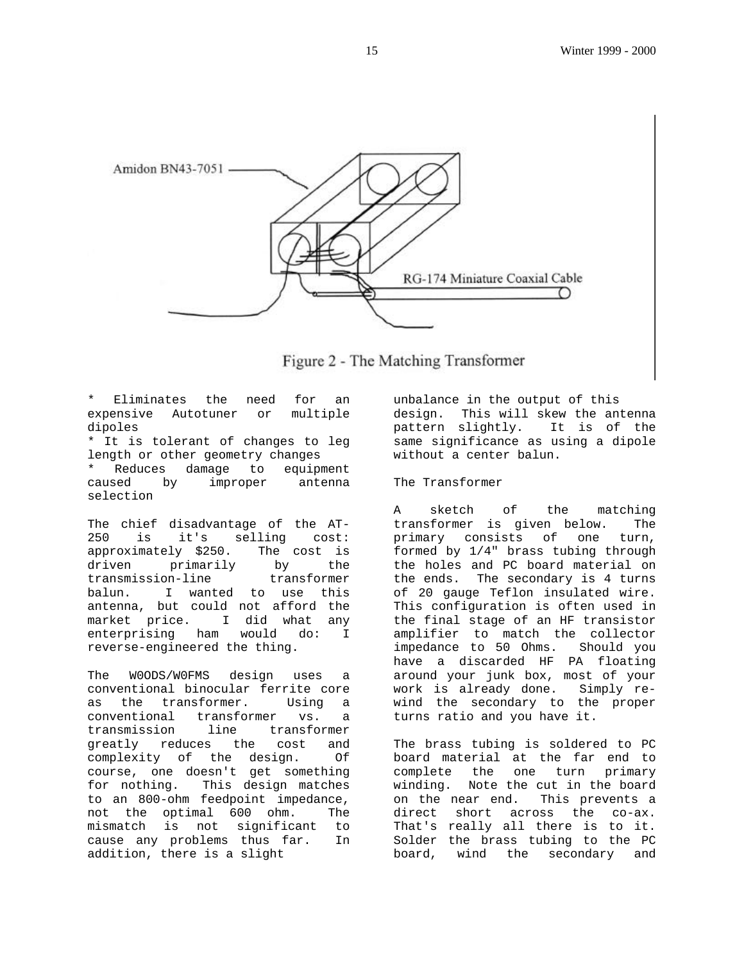



Eliminates the need for an expensive Autotuner or multiple dipoles

\* It is tolerant of changes to leg length or other geometry changes \* Reduces damage to equipment

by improper antenna selection

The chief disadvantage of the AT-250 is it's selling cost: approximately \$250. The cost is driven primarily by the transmission-line transformer balun. I wanted to use this antenna, but could not afford the market price. I did what any enterprising ham would do: I reverse-engineered the thing.

The W0ODS/W0FMS design uses a conventional binocular ferrite core as the transformer. Using a conventional transformer vs. a transmission line transformer greatly reduces the cost and complexity of the design. Of course, one doesn't get something for nothing. This design matches to an 800-ohm feedpoint impedance, not the optimal 600 ohm. The mismatch is not significant to cause any problems thus far. In addition, there is a slight

unbalance in the output of this design. This will skew the antenna pattern slightly. It is of the same significance as using a dipole without a center balun.

# The Transformer

A sketch of the matching transformer is given below. The primary consists of one turn, formed by 1/4" brass tubing through the holes and PC board material on the ends. The secondary is 4 turns of 20 gauge Teflon insulated wire. This configuration is often used in the final stage of an HF transistor amplifier to match the collector impedance to 50 Ohms. Should you have a discarded HF PA floating around your junk box, most of your work is already done. Simply rewind the secondary to the proper turns ratio and you have it.

The brass tubing is soldered to PC board material at the far end to complete the one turn primary winding. Note the cut in the board on the near end. This prevents a direct short across the co-ax. That's really all there is to it. Solder the brass tubing to the PC board, wind the secondary and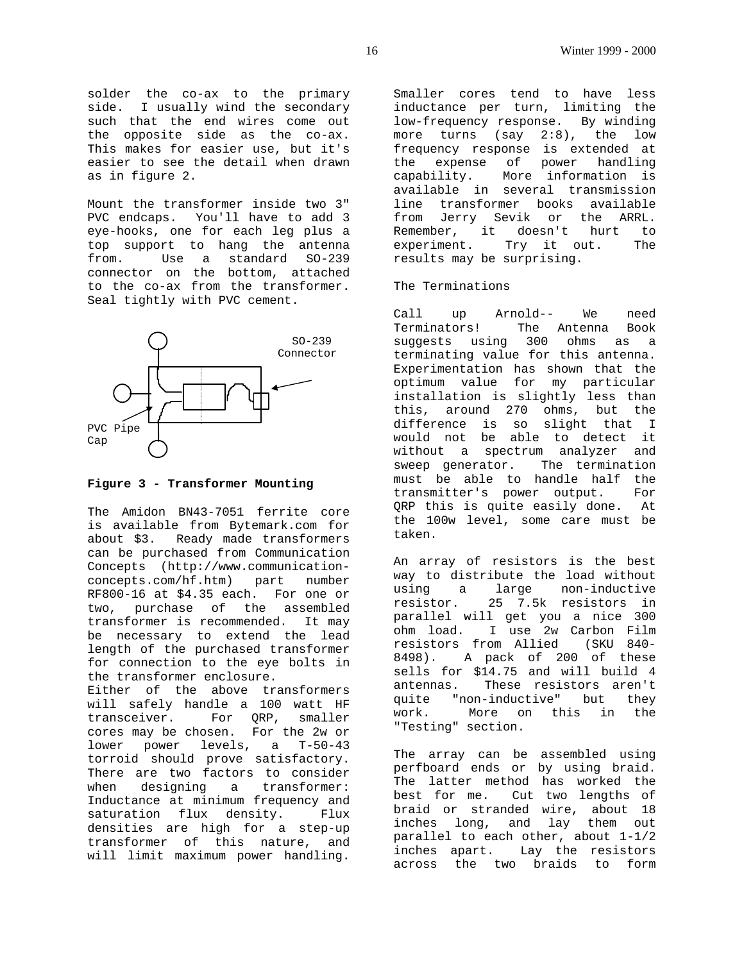solder the co-ax to the primary side. I usually wind the secondary such that the end wires come out the opposite side as the co-ax. This makes for easier use, but it's easier to see the detail when drawn as in figure 2.

Mount the transformer inside two 3" PVC endcaps. You'll have to add 3 eye-hooks, one for each leg plus a top support to hang the antenna from. Use a standard SO-239 connector on the bottom, attached to the co-ax from the transformer. Seal tightly with PVC cement.



#### **Figure 3 - Transformer Mounting**

The Amidon BN43-7051 ferrite core is available from Bytemark.com for about \$3. Ready made transformers can be purchased from Communication Concepts (http://www.communicationconcepts.com/hf.htm) part number RF800-16 at \$4.35 each. For one or two, purchase of the assembled transformer is recommended. It may be necessary to extend the lead length of the purchased transformer for connection to the eye bolts in the transformer enclosure. Either of the above transformers will safely handle a 100 watt HF transceiver. For QRP, smaller cores may be chosen. For the 2w or lower power levels, a T-50-43 torroid should prove satisfactory. There are two factors to consider when designing a transformer: Inductance at minimum frequency and saturation flux density. Flux densities are high for a step-up transformer of this nature, and will limit maximum power handling.

Smaller cores tend to have less inductance per turn, limiting the low-frequency response. By winding more turns (say 2:8), the low frequency response is extended at the expense of power handling capability. More information is available in several transmission line transformer books available from Jerry Sevik or the ARRL. Remember, it doesn't hurt to experiment. Try it out. The results may be surprising.

#### The Terminations

Call up Arnold-- We need Terminators! The Antenna Book suggests using 300 ohms as a terminating value for this antenna. Experimentation has shown that the optimum value for my particular installation is slightly less than this, around 270 ohms, but the difference is so slight that I would not be able to detect it without a spectrum analyzer and sweep generator. The termination must be able to handle half the transmitter's power output. For QRP this is quite easily done. At the 100w level, some care must be taken.

An array of resistors is the best way to distribute the load without using a large non-inductive resistor. 25 7.5k resistors in parallel will get you a nice 300 ohm load. I use 2w Carbon Film resistors from Allied (SKU 840- 8498). A pack of 200 of these sells for \$14.75 and will build 4 antennas. These resistors aren't quite "non-inductive" but they work. More on this in the "Testing" section.

The array can be assembled using perfboard ends or by using braid. -<br>The latter method has worked the best for me. Cut two lengths of braid or stranded wire, about 18 inches long, and lay them out parallel to each other, about 1-1/2 inches apart. Lay the resistors across the two braids to form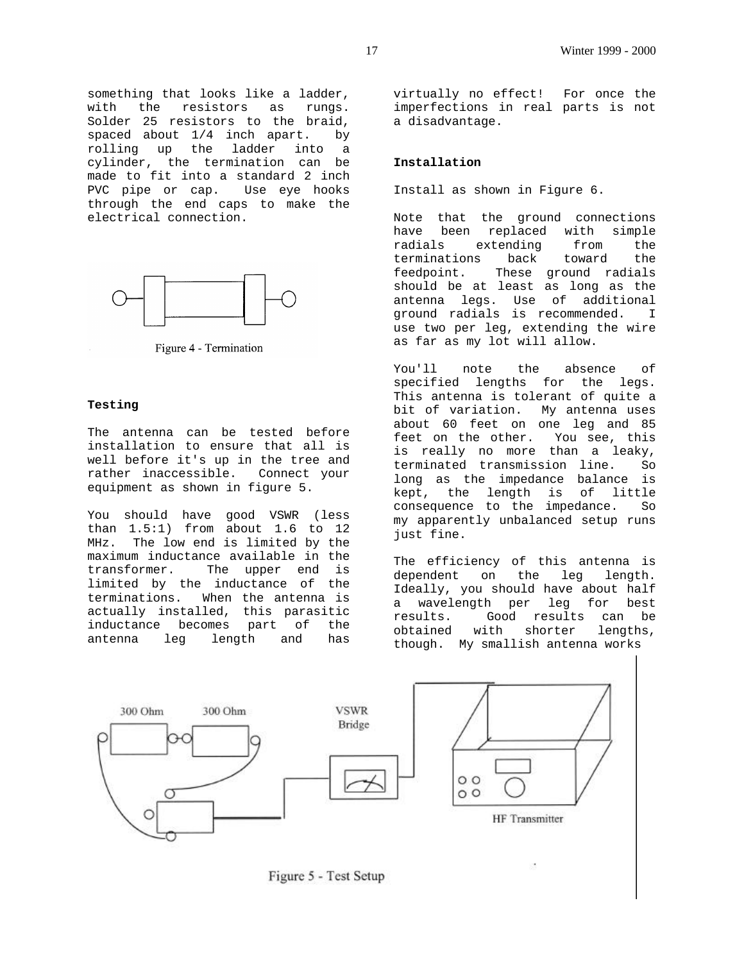something that looks like a ladder, with the resistors as rungs. Solder 25 resistors to the braid, spaced about 1/4 inch apart. by rolling up the ladder into a cylinder, the termination can be made to fit into a standard 2 inch PVC pipe or cap. Use eye hooks through the end caps to make the electrical connection.



Figure 4 - Termination

#### **Testing**

The antenna can be tested before installation to ensure that all is well before it's up in the tree and rather inaccessible. Connect your equipment as shown in figure 5.

You should have good VSWR (less than 1.5:1) from about 1.6 to 12 MHz. The low end is limited by the maximum inductance available in the transformer. The upper end is limited by the inductance of the terminations. When the antenna is actually installed, this parasitic inductance becomes part of the antenna leg length and has

virtually no effect! For once the imperfections in real parts is not a disadvantage.

# **Installation**

Install as shown in Figure 6.

Note that the ground connections have been replaced with simple radials extending from the terminations back toward the feedpoint. These ground radials should be at least as long as the antenna legs. Use of additional ground radials is recommended. I use two per leg, extending the wire as far as my lot will allow.

You'll note the absence of specified lengths for the legs. This antenna is tolerant of quite a bit of variation. My antenna uses about 60 feet on one leg and 85 feet on the other. You see, this is really no more than a leaky, terminated transmission line. So long as the impedance balance is kept, the length is of little consequence to the impedance. So my apparently unbalanced setup runs just fine.

The efficiency of this antenna is dependent on the leg length. Ideally, you should have about half a wavelength per leg for best results. Good results can be obtained with shorter lengths, though. My smallish antenna works



Figure 5 - Test Setup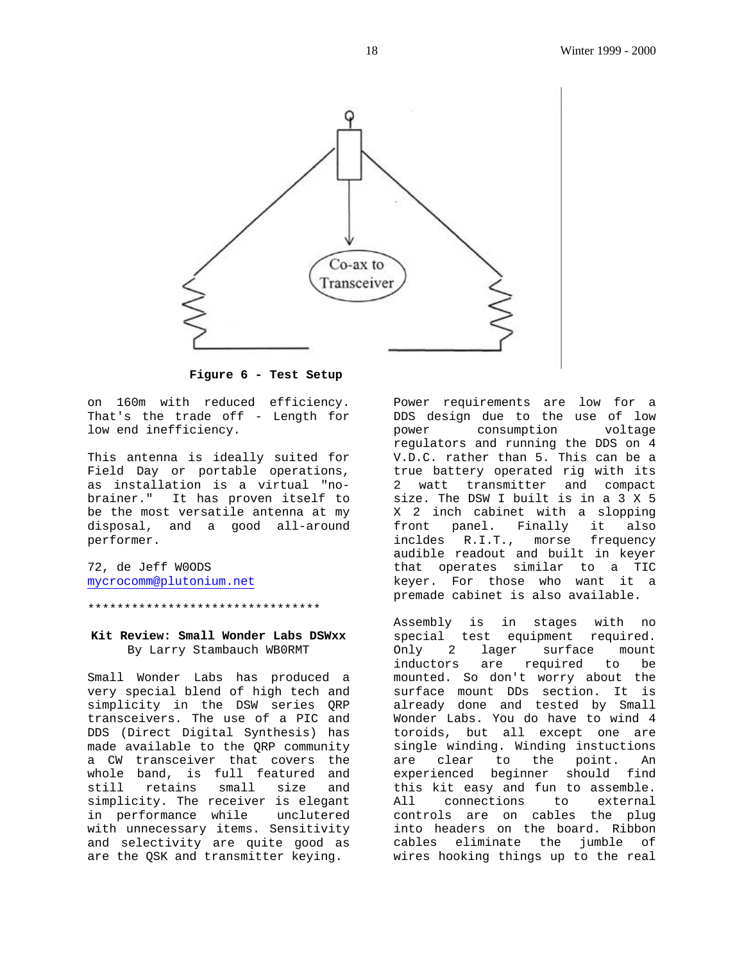

**Figure 6 - Test Setup**

on 160m with reduced efficiency. That's the trade off - Length for low end inefficiency.

This antenna is ideally suited for Field Day or portable operations, as installation is a virtual "nobrainer." It has proven itself to be the most versatile antenna at my disposal, and a good all-around performer.

72, de Jeff W0ODS mycrocomm@plutonium.net

\*\*\*\*\*\*\*\*\*\*\*\*\*\*\*\*\*\*\*\*\*\*\*\*\*\*\*\*\*\*\*\*

# **Kit Review: Small Wonder Labs DSWxx** By Larry Stambauch WB0RMT

Small Wonder Labs has produced a very special blend of high tech and simplicity in the DSW series QRP transceivers. The use of a PIC and DDS (Direct Digital Synthesis) has made available to the QRP community a CW transceiver that covers the whole band, is full featured and still retains small size and simplicity. The receiver is elegant<br>in performance while unclutered in performance while with unnecessary items. Sensitivity and selectivity are quite good as are the QSK and transmitter keying.

Power requirements are low for a DDS design due to the use of low power consumption voltage regulators and running the DDS on 4 V.D.C. rather than 5. This can be a true battery operated rig with its 2 watt transmitter and compact size. The DSW I built is in a 3 X 5 X 2 inch cabinet with a slopping front panel. Finally it also incldes R.I.T., morse frequency audible readout and built in keyer that operates similar to a TIC keyer. For those who want it a premade cabinet is also available.

Assembly is in stages with no special test equipment required. Only 2 lager surface mount inductors are required to be mounted. So don't worry about the surface mount DDs section. It is already done and tested by Small Wonder Labs. You do have to wind 4 toroids, but all except one are single winding. Winding instuctions are clear to the point. An experienced beginner should find this kit easy and fun to assemble. All connections to external controls are on cables the plug into headers on the board. Ribbon cables eliminate the jumble of wires hooking things up to the real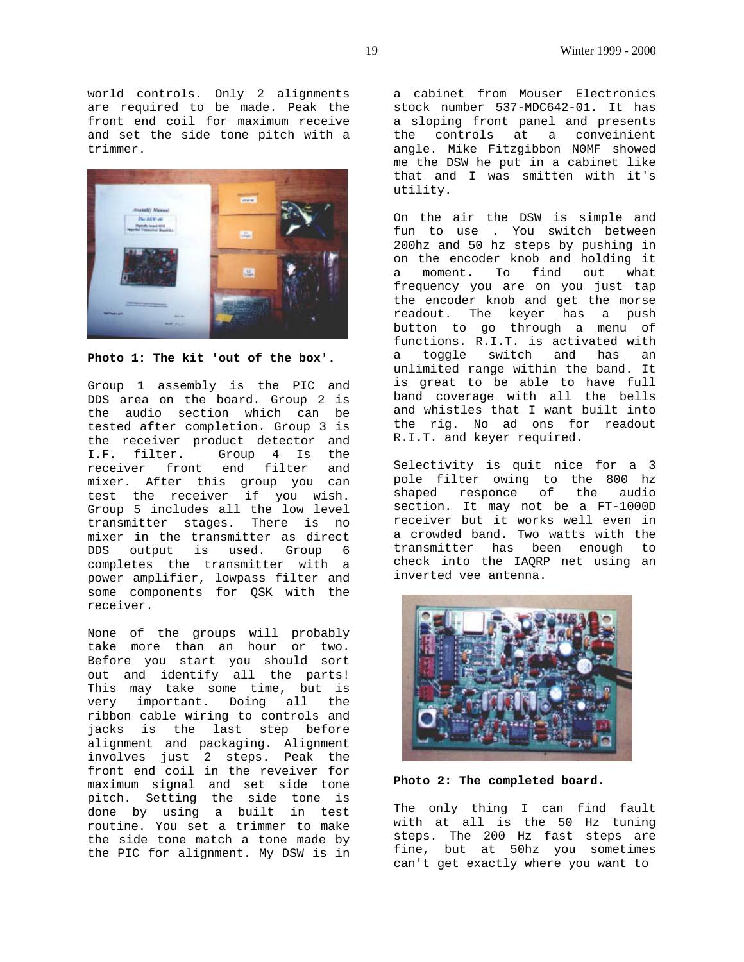world controls. Only 2 alignments are required to be made. Peak the front end coil for maximum receive and set the side tone pitch with a trimmer.



**Photo 1: The kit 'out of the box'.**

Group 1 assembly is the PIC and DDS area on the board. Group 2 is the audio section which can be tested after completion. Group 3 is the receiver product detector and I.F. filter. Group 4 Is the receiver front end filter and mixer. After this group you can test the receiver if you wish. Group 5 includes all the low level transmitter stages. There is no mixer in the transmitter as direct DDS output is used. Group 6 completes the transmitter with a power amplifier, lowpass filter and some components for QSK with the receiver.

None of the groups will probably take more than an hour or two. Before you start you should sort out and identify all the parts! This may take some time, but is very important. Doing all the ribbon cable wiring to controls and jacks is the last step before alignment and packaging. Alignment involves just 2 steps. Peak the front end coil in the reveiver for maximum signal and set side tone pitch. Setting the side tone is done by using a built in test routine. You set a trimmer to make the side tone match a tone made by the PIC for alignment. My DSW is in a cabinet from Mouser Electronics stock number 537-MDC642-01. It has a sloping front panel and presents the controls at a conveinient angle. Mike Fitzgibbon N0MF showed me the DSW he put in a cabinet like that and I was smitten with it's utility.

On the air the DSW is simple and fun to use . You switch between 200hz and 50 hz steps by pushing in on the encoder knob and holding it a moment. To find out what frequency you are on you just tap the encoder knob and get the morse readout. The keyer has a push button to go through a menu of functions. R.I.T. is activated with a toggle switch and has an unlimited range within the band. It is great to be able to have full band coverage with all the bells and whistles that I want built into the rig. No ad ons for readout R.I.T. and keyer required.

Selectivity is quit nice for a 3 pole filter owing to the 800 hz shaped responce of the audio section. It may not be a FT-1000D receiver but it works well even in a crowded band. Two watts with the transmitter has been enough to check into the IAQRP net using an inverted vee antenna.



**Photo 2: The completed board.**

The only thing I can find fault with at all is the 50 Hz tuning steps. The 200 Hz fast steps are fine, but at 50hz you sometimes can't get exactly where you want to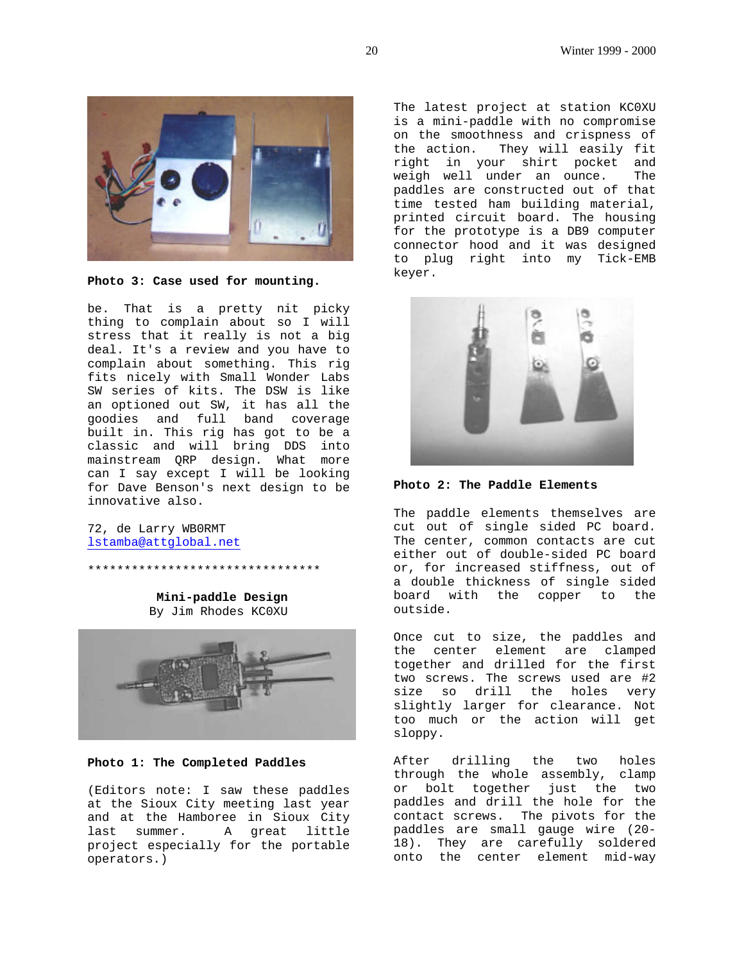

**Photo 3: Case used for mounting.**

be. That is a pretty nit picky thing to complain about so I will stress that it really is not a big deal. It's a review and you have to complain about something. This rig fits nicely with Small Wonder Labs SW series of kits. The DSW is like an optioned out SW, it has all the goodies and full band coverage built in. This rig has got to be a classic and will bring DDS into mainstream QRP design. What more can I say except I will be looking for Dave Benson's next design to be innovative also.

72, de Larry WB0RMT lstamba@attglobal.net

> **Mini-paddle Design** By Jim Rhodes KC0XU

\*\*\*\*\*\*\*\*\*\*\*\*\*\*\*\*\*\*\*\*\*\*\*\*\*\*\*\*\*\*\*\*



**Photo 1: The Completed Paddles**

(Editors note: I saw these paddles at the Sioux City meeting last year and at the Hamboree in Sioux City last summer. A great little project especially for the portable operators.)

The latest project at station KC0XU is a mini-paddle with no compromise on the smoothness and crispness of the action. They will easily fit right in your shirt pocket and weigh well under an ounce. The paddles are constructed out of that time tested ham building material, printed circuit board. The housing for the prototype is a DB9 computer connector hood and it was designed to plug right into my Tick-EMB keyer.



**Photo 2: The Paddle Elements**

The paddle elements themselves are cut out of single sided PC board. The center, common contacts are cut either out of double-sided PC board or, for increased stiffness, out of a double thickness of single sided board with the copper to the outside.

Once cut to size, the paddles and the center element are clamped together and drilled for the first two screws. The screws used are #2 size so drill the holes very slightly larger for clearance. Not too much or the action will get sloppy.

After drilling the two holes through the whole assembly, clamp or bolt together just the two paddles and drill the hole for the contact screws. The pivots for the paddles are small gauge wire (20- 18). They are carefully soldered onto the center element mid-way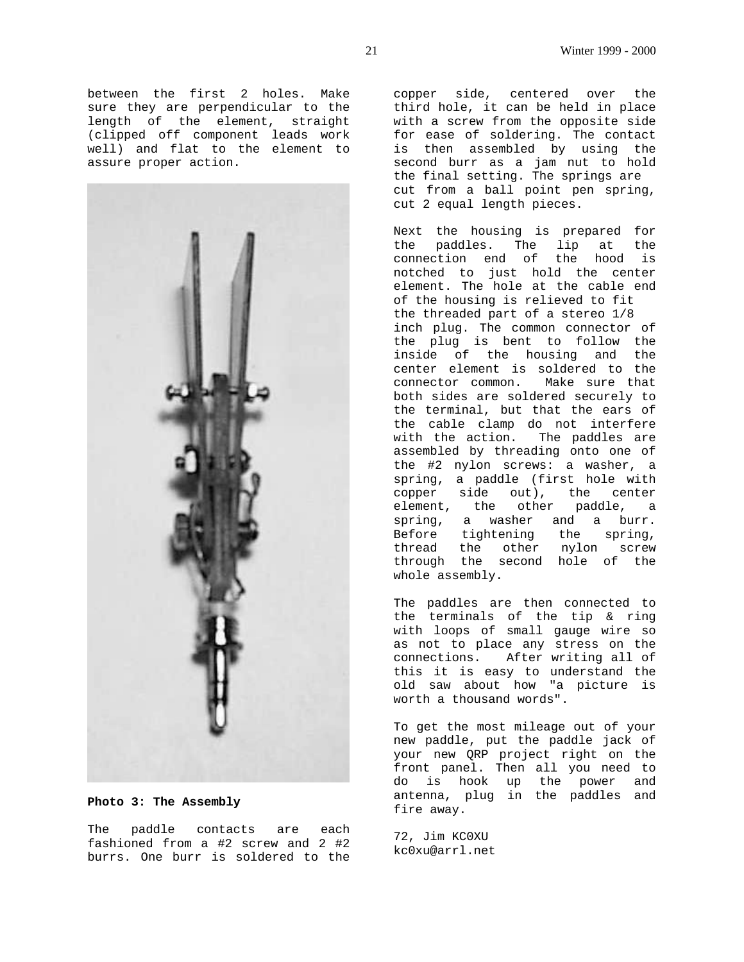between the first 2 holes. Make sure they are perpendicular to the length of the element, straight (clipped off component leads work well) and flat to the element to assure proper action.



**Photo 3: The Assembly**

The paddle contacts are each fashioned from a #2 screw and 2 #2 burrs. One burr is soldered to the

copper side, centered over the third hole, it can be held in place with a screw from the opposite side for ease of soldering. The contact is then assembled by using the second burr as a jam nut to hold the final setting. The springs are cut from a ball point pen spring, cut 2 equal length pieces.

Next the housing is prepared for the paddles. The lip at the connection end of the hood is notched to just hold the center element. The hole at the cable end of the housing is relieved to fit the threaded part of a stereo 1/8 inch plug. The common connector of the plug is bent to follow the inside of the housing and the center element is soldered to the connector common. Make sure that both sides are soldered securely to the terminal, but that the ears of the cable clamp do not interfere with the action. The paddles are assembled by threading onto one of the #2 nylon screws: a washer, a spring, a paddle (first hole with copper side out), the center element, the other paddle, a spring, a washer and a burr. Before tightening the spring, thread the other nylon screw through the second hole of the whole assembly.

The paddles are then connected to the terminals of the tip & ring with loops of small gauge wire so as not to place any stress on the connections. After writing all of this it is easy to understand the old saw about how "a picture is worth a thousand words".

To get the most mileage out of your new paddle, put the paddle jack of your new QRP project right on the front panel. Then all you need to do is hook up the power and antenna, plug in the paddles and fire away.

72, Jim KC0XU kc0xu@arrl.net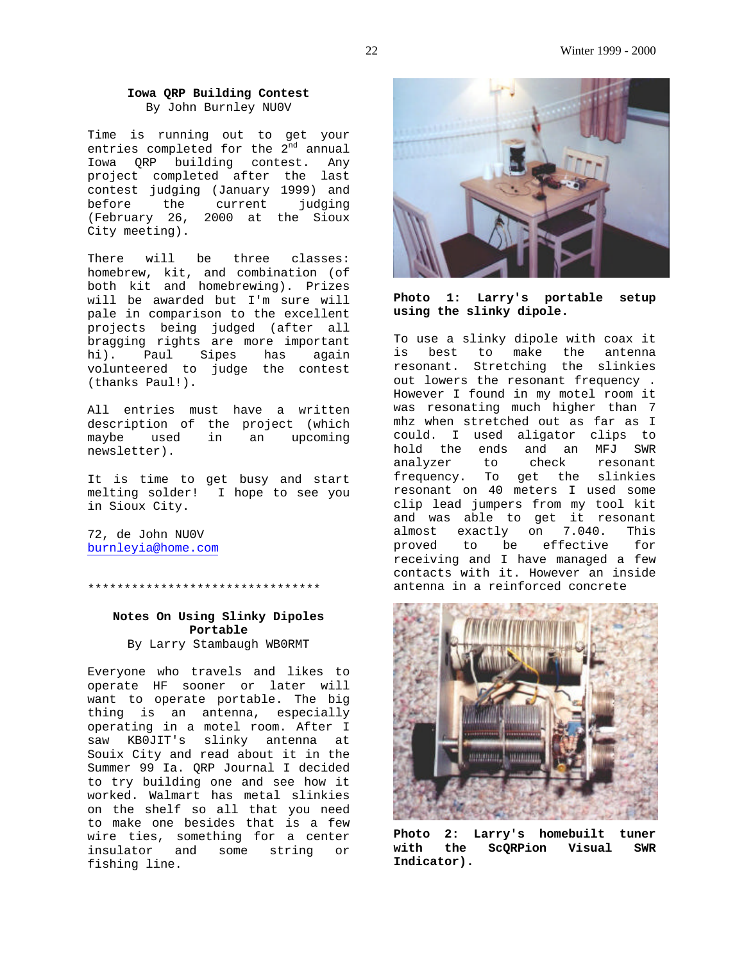#### **Iowa QRP Building Contest** By John Burnley NU0V

Time is running out to get your entries completed for the 2<sup>nd</sup> annual Iowa QRP building contest. Any project completed after the last contest judging (January 1999) and before the current judging (February 26, 2000 at the Sioux City meeting).

There will be three classes: homebrew, kit, and combination (of both kit and homebrewing). Prizes will be awarded but I'm sure will pale in comparison to the excellent projects being judged (after all bragging rights are more important hi). Paul Sipes has again volunteered to judge the contest (thanks Paul!).

All entries must have a written description of the project (which maybe used in an upcoming newsletter).

It is time to get busy and start melting solder! I hope to see you in Sioux City.

72, de John NU0V burnleyia@home.com

\*\*\*\*\*\*\*\*\*\*\*\*\*\*\*\*\*\*\*\*\*\*\*\*\*\*\*\*\*\*\*\*

# **Notes On Using Slinky Dipoles Portable**

By Larry Stambaugh WB0RMT

Everyone who travels and likes to operate HF sooner or later will want to operate portable. The big thing is an antenna, especially operating in a motel room. After I saw KB0JIT's slinky antenna at Souix City and read about it in the Summer 99 Ia. QRP Journal I decided to try building one and see how it worked. Walmart has metal slinkies on the shelf so all that you need to make one besides that is a few wire ties, something for a center insulator and some string or fishing line.



**Photo 1: Larry's portable setup using the slinky dipole.**

To use a slinky dipole with coax it is best to make the antenna resonant. Stretching the slinkies out lowers the resonant frequency . However I found in my motel room it was resonating much higher than 7 mhz when stretched out as far as I could. I used aligator clips to hold the ends and an MFJ SWR analyzer to check resonant frequency. To get the slinkies resonant on 40 meters I used some clip lead jumpers from my tool kit and was able to get it resonant almost exactly on 7.040. This proved to be effective for receiving and I have managed a few contacts with it. However an inside antenna in a reinforced concrete



**Photo 2: Larry's homebuilt tuner with the ScQRPion Visual SWR Indicator).**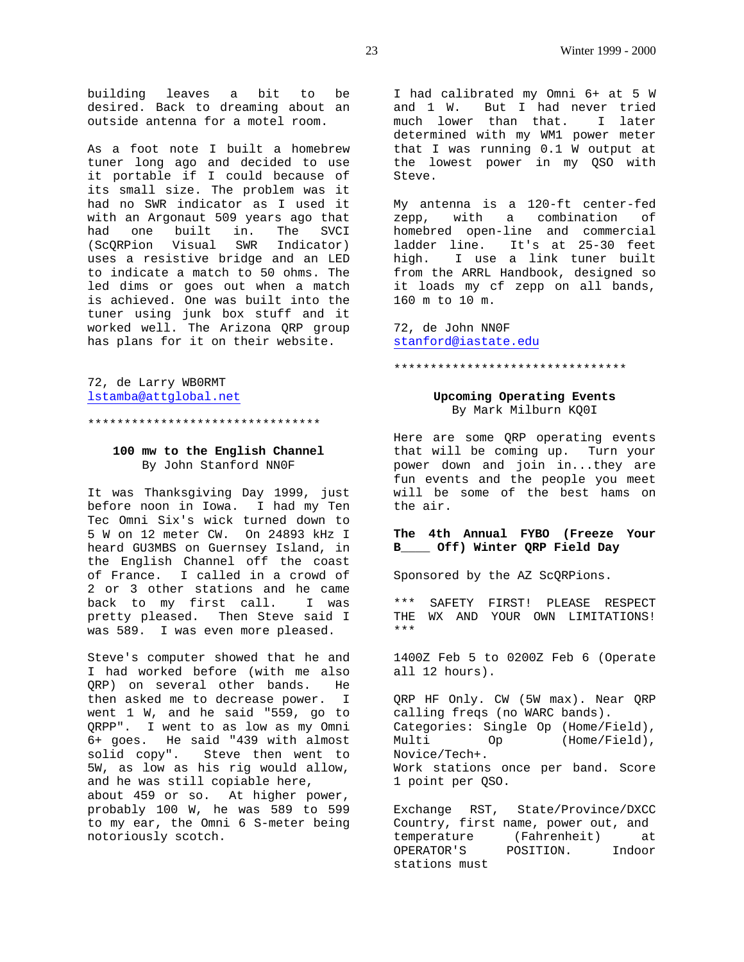building leaves a bit to be desired. Back to dreaming about an outside antenna for a motel room.

As a foot note I built a homebrew tuner long ago and decided to use it portable if I could because of its small size. The problem was it had no SWR indicator as I used it with an Argonaut 509 years ago that had one built in. The SVCI (ScQRPion Visual SWR Indicator) uses a resistive bridge and an LED to indicate a match to 50 ohms. The led dims or goes out when a match is achieved. One was built into the tuner using junk box stuff and it worked well. The Arizona QRP group has plans for it on their website.

72, de Larry WB0RMT lstamba@attglobal.net

\*\*\*\*\*\*\*\*\*\*\*\*\*\*\*\*\*\*\*\*\*\*\*\*\*\*\*\*\*\*\*\*

#### **100 mw to the English Channel** By John Stanford NN0F

It was Thanksgiving Day 1999, just before noon in Iowa. I had my Ten Tec Omni Six's wick turned down to 5 W on 12 meter CW. On 24893 kHz I heard GU3MBS on Guernsey Island, in the English Channel off the coast of France. I called in a crowd of 2 or 3 other stations and he came back to my first call. I was pretty pleased. Then Steve said I was 589. I was even more pleased.

Steve's computer showed that he and I had worked before (with me also QRP) on several other bands. He then asked me to decrease power. I went 1 W, and he said "559, go to QRPP". I went to as low as my Omni 6+ goes. He said "439 with almost solid copy". Steve then went to 5W, as low as his rig would allow, and he was still copiable here, about 459 or so. At higher power, probably 100 W, he was 589 to 599 to my ear, the Omni 6 S-meter being notoriously scotch.

I had calibrated my Omni 6+ at 5 W and 1 W. But I had never tried much lower than that. I later determined with my WM1 power meter that I was running 0.1 W output at the lowest power in my QSO with Steve.

My antenna is a 120-ft center-fed zepp, with a combination of homebred open-line and commercial ladder line. It's at 25-30 feet high. I use a link tuner built from the ARRL Handbook, designed so it loads my cf zepp on all bands, 160 m to 10 m.

72, de John NN0F stanford@iastate.edu

#### \*\*\*\*\*\*\*\*\*\*\*\*\*\*\*\*\*\*\*\*\*\*\*\*\*\*\*\*\*\*\*\*

#### **Upcoming Operating Events** By Mark Milburn KQ0I

Here are some QRP operating events that will be coming up. Turn your power down and join in...they are fun events and the people you meet will be some of the best hams on the air.

### **The 4th Annual FYBO (Freeze Your B\_\_\_\_ Off) Winter QRP Field Day**

Sponsored by the AZ ScQRPions.

\*\*\* SAFETY FIRST! PLEASE RESPECT THE WX AND YOUR OWN LIMITATIONS! \*\*\*

1400Z Feb 5 to 0200Z Feb 6 (Operate all 12 hours).

QRP HF Only. CW (5W max). Near QRP calling freqs (no WARC bands). Categories: Single Op (Home/Field), Multi Op (Home/Field), Novice/Tech+. Work stations once per band. Score 1 point per QSO.

Exchange RST, State/Province/DXCC Country, first name, power out, and temperature (Fahrenheit) at OPERATOR'S POSITION. Indoor stations must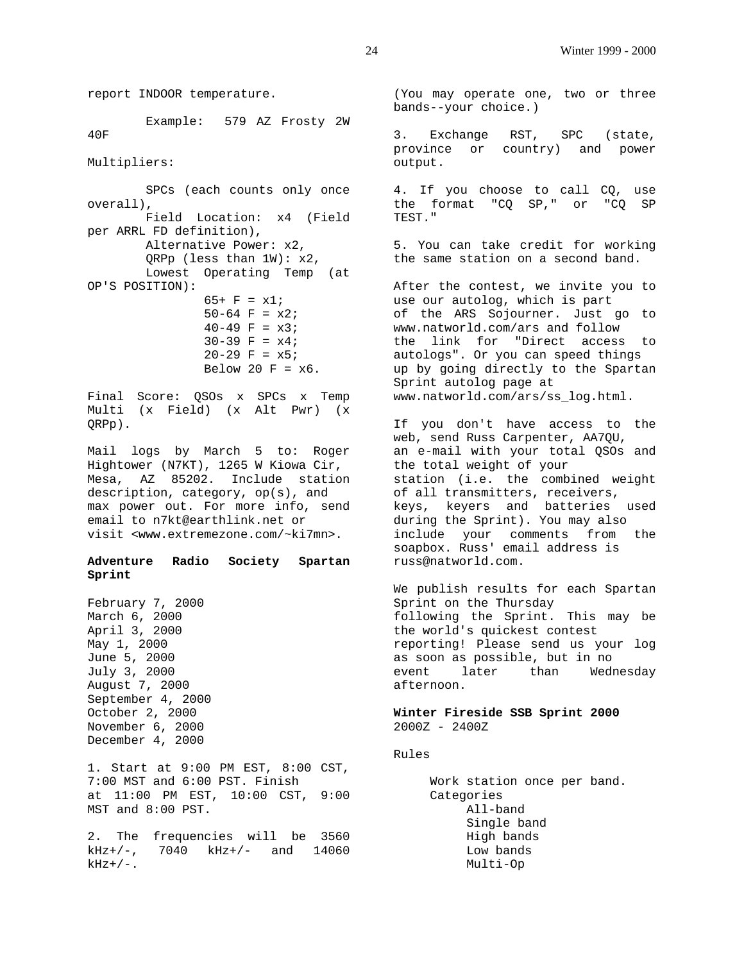report INDOOR temperature. Example: 579 AZ Frosty 2W 40F Multipliers: SPCs (each counts only once overall), Field Location: x4 (Field per ARRL FD definition), Alternative Power: x2, QRPp (less than  $1W$ ):  $x2$ , Lowest Operating Temp (at OP'S POSITION):  $65+ F = x1;$  $50-64$  F =  $x2$ ;  $40-49$  F =  $x3$ ;  $30-39$  F =  $x4$ ;  $20-29$  F =  $x5$ ; Below 20  $F = x6$ . Final Score: QSOs x SPCs x Temp Multi (x Field) (x Alt Pwr) (x QRPp). Mail logs by March 5 to: Roger Hightower (N7KT), 1265 W Kiowa Cir, Mesa, AZ 85202. Include station description, category, op(s), and max power out. For more info, send email to n7kt@earthlink.net or visit <www.extremezone.com/~ki7mn>. **Adventure Radio Society Spartan Sprint** February 7, 2000 March 6, 2000 April 3, 2000 May 1, 2000 June 5, 2000 July 3, 2000 August 7, 2000 September 4, 2000 October 2, 2000 November 6, 2000 December 4, 2000 1. Start at 9:00 PM EST, 8:00 CST, 7:00 MST and 6:00 PST. Finish at 11:00 PM EST, 10:00 CST, 9:00 MST and 8:00 PST. 2. The frequencies will be 3560 kHz+/-, 7040 kHz+/- and 14060  $kHz+/-$ .

(You may operate one, two or three bands--your choice.)

3. Exchange RST, SPC (state, province or country) and power output.

4. If you choose to call CQ, use the format "CQ SP," or "CQ SP TEST."

5. You can take credit for working the same station on a second band.

After the contest, we invite you to use our autolog, which is part of the ARS Sojourner. Just go to www.natworld.com/ars and follow the link for "Direct access to autologs". Or you can speed things up by going directly to the Spartan Sprint autolog page at www.natworld.com/ars/ss\_log.html.

If you don't have access to the web, send Russ Carpenter, AA7QU, an e-mail with your total QSOs and the total weight of your station (i.e. the combined weight of all transmitters, receivers, keys, keyers and batteries used during the Sprint). You may also include your comments from the soapbox. Russ' email address is russ@natworld.com.

We publish results for each Spartan Sprint on the Thursday following the Sprint. This may be the world's quickest contest reporting! Please send us your log as soon as possible, but in no event later than Wednesday afternoon.

**Winter Fireside SSB Sprint 2000** 2000Z - 2400Z

Rules

 Work station once per band. Categories All-band Single band High bands Low bands Multi-Op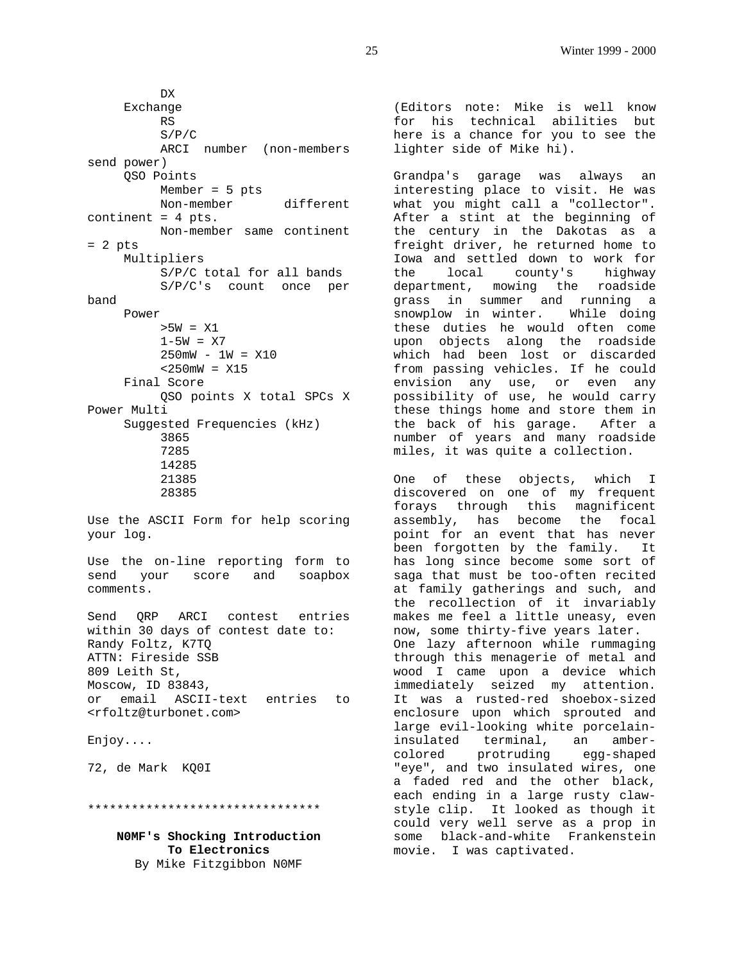DX Exchange RS S/P/C ARCI number (non-members send power) QSO Points Member = 5 pts Non-member different continent = 4 pts. Non-member same continent  $= 2$  pts Multipliers S/P/C total for all bands S/P/C's count once per band Power >5W = X1  $1-5W = X7$  250mW - 1W = X10  $<$  250mW =  $x15$  Final Score QSO points X total SPCs X Power Multi Suggested Frequencies (kHz) 3865 7285 14285 21385 28385 Use the ASCII Form for help scoring your log. Use the on-line reporting form to send your score and soapbox comments.

Send QRP ARCI contest entries within 30 days of contest date to: Randy Foltz, K7TQ ATTN: Fireside SSB 809 Leith St, Moscow, ID 83843, or email ASCII-text entries to <rfoltz@turbonet.com>

Enjoy....

72, de Mark KQ0I

\*\*\*\*\*\*\*\*\*\*\*\*\*\*\*\*\*\*\*\*\*\*\*\*\*\*\*\*\*\*\*\*

**N0MF's Shocking Introduction To Electronics** By Mike Fitzgibbon N0MF

(Editors note: Mike is well know for his technical abilities but here is a chance for you to see the lighter side of Mike hi).

Grandpa's garage was always an interesting place to visit. He was what you might call a "collector". After a stint at the beginning of the century in the Dakotas as a freight driver, he returned home to Iowa and settled down to work for the local county's highway department, mowing the roadside grass in summer and running a snowplow in winter. While doing these duties he would often come upon objects along the roadside which had been lost or discarded from passing vehicles. If he could envision any use, or even any possibility of use, he would carry these things home and store them in the back of his garage. After a number of years and many roadside miles, it was quite a collection.

One of these objects, which I discovered on one of my frequent forays through this magnificent assembly, has become the focal point for an event that has never been forgotten by the family. It has long since become some sort of saga that must be too-often recited at family gatherings and such, and the recollection of it invariably makes me feel a little uneasy, even now, some thirty-five years later. One lazy afternoon while rummaging through this menagerie of metal and wood I came upon a device which immediately seized my attention. It was a rusted-red shoebox-sized enclosure upon which sprouted and large evil-looking white porcelaininsulated terminal, an ambercolored protruding egg-shaped "eye", and two insulated wires, one a faded red and the other black, each ending in a large rusty clawstyle clip. It looked as though it could very well serve as a prop in some black-and-white Frankenstein movie. I was captivated.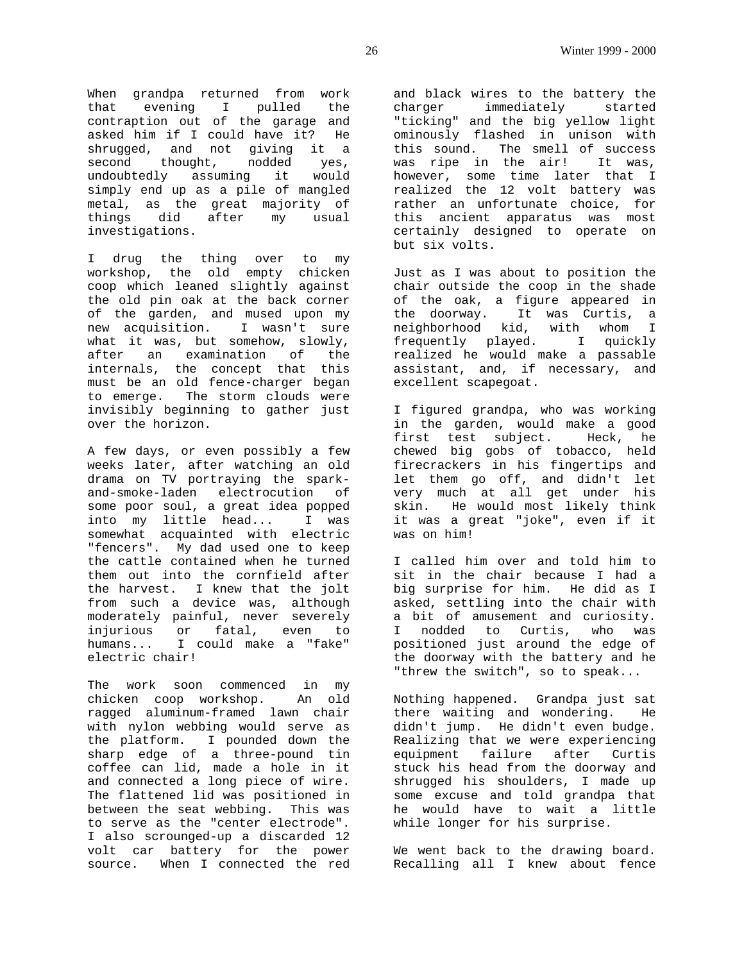When grandpa returned from work that evening I pulled the contraption out of the garage and asked him if I could have it? He shrugged, and not giving it a second thought, nodded yes, undoubtedly assuming it would simply end up as a pile of mangled metal, as the great majority of things did after my usual investigations.

I drug the thing over to my workshop, the old empty chicken coop which leaned slightly against the old pin oak at the back corner of the garden, and mused upon my new acquisition. I wasn't sure what it was, but somehow, slowly, after an examination of the internals, the concept that this must be an old fence-charger began to emerge. The storm clouds were invisibly beginning to gather just over the horizon.

A few days, or even possibly a few weeks later, after watching an old drama on TV portraying the sparkand-smoke-laden electrocution of some poor soul, a great idea popped into my little head... I was somewhat acquainted with electric "fencers". My dad used one to keep the cattle contained when he turned them out into the cornfield after the harvest. I knew that the jolt from such a device was, although moderately painful, never severely injurious or fatal, even to humans... I could make a "fake" electric chair!

The work soon commenced in my chicken coop workshop. An old ragged aluminum-framed lawn chair with nylon webbing would serve as the platform. I pounded down the sharp edge of a three-pound tin coffee can lid, made a hole in it and connected a long piece of wire. The flattened lid was positioned in between the seat webbing. This was to serve as the "center electrode". I also scrounged-up a discarded 12 volt car battery for the power source. When I connected the red

and black wires to the battery the charger immediately started "ticking" and the big yellow light ominously flashed in unison with this sound. The smell of success was ripe in the air! It was, however, some time later that I realized the 12 volt battery was rather an unfortunate choice, for this ancient apparatus was most certainly designed to operate on but six volts.

Just as I was about to position the chair outside the coop in the shade of the oak, a figure appeared in the doorway. It was Curtis, a neighborhood kid, with whom I frequently played. I quickly realized he would make a passable assistant, and, if necessary, and excellent scapegoat.

I figured grandpa, who was working in the garden, would make a good first test subject. Heck, he chewed big gobs of tobacco, held firecrackers in his fingertips and let them go off, and didn't let very much at all get under his skin. He would most likely think it was a great "joke", even if it was on him!

I called him over and told him to sit in the chair because I had a big surprise for him. He did as I asked, settling into the chair with a bit of amusement and curiosity. I nodded to Curtis, who was positioned just around the edge of the doorway with the battery and he "threw the switch", so to speak...

Nothing happened. Grandpa just sat there waiting and wondering. He didn't jump. He didn't even budge. Realizing that we were experiencing equipment failure after Curtis stuck his head from the doorway and shrugged his shoulders, I made up some excuse and told grandpa that he would have to wait a little while longer for his surprise.

We went back to the drawing board. Recalling all I knew about fence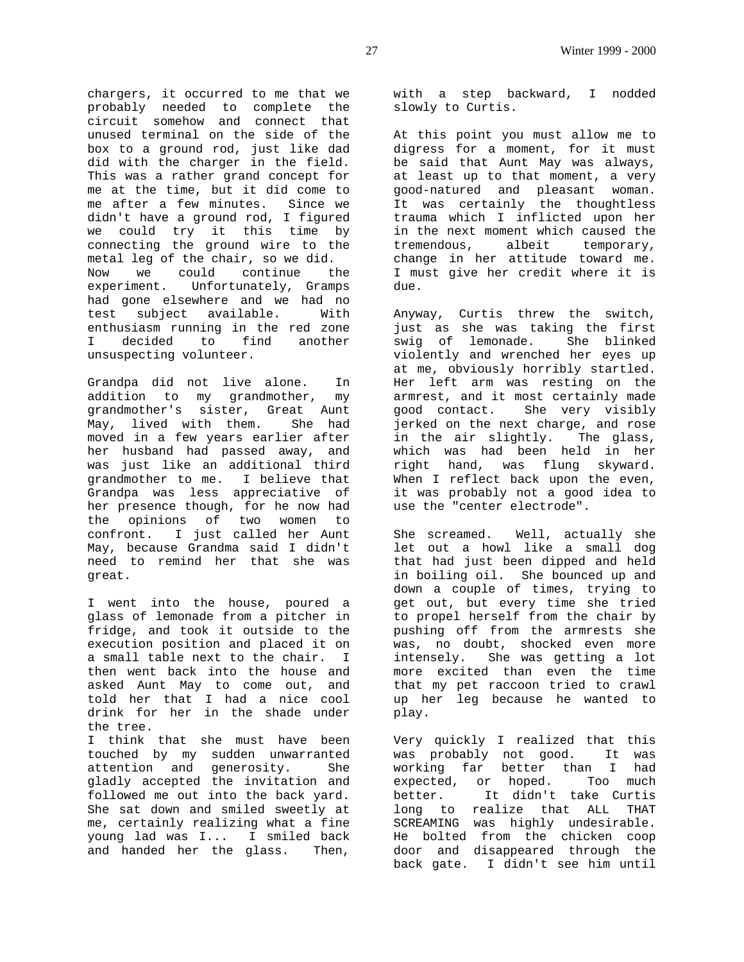chargers, it occurred to me that we probably needed to complete the circuit somehow and connect that unused terminal on the side of the box to a ground rod, just like dad did with the charger in the field. This was a rather grand concept for me at the time, but it did come to me after a few minutes. Since we didn't have a ground rod, I figured we could try it this time by connecting the ground wire to the metal leg of the chair, so we did. Now we could continue the experiment. Unfortunately, Gramps had gone elsewhere and we had no test subject available. With enthusiasm running in the red zone I decided to find another unsuspecting volunteer.

Grandpa did not live alone. In addition to my grandmother, my grandmother's sister, Great Aunt May, lived with them. She had moved in a few years earlier after her husband had passed away, and was just like an additional third grandmother to me. I believe that Grandpa was less appreciative of her presence though, for he now had the opinions of two women to confront. I just called her Aunt May, because Grandma said I didn't need to remind her that she was great.

I went into the house, poured a glass of lemonade from a pitcher in fridge, and took it outside to the execution position and placed it on a small table next to the chair. I then went back into the house and asked Aunt May to come out, and told her that I had a nice cool drink for her in the shade under the tree.

I think that she must have been touched by my sudden unwarranted attention and generosity. She gladly accepted the invitation and followed me out into the back yard. She sat down and smiled sweetly at me, certainly realizing what a fine young lad was I... I smiled back and handed her the glass. Then,

with a step backward, I nodded slowly to Curtis.

At this point you must allow me to digress for a moment, for it must be said that Aunt May was always, at least up to that moment, a very good-natured and pleasant woman. It was certainly the thoughtless trauma which I inflicted upon her in the next moment which caused the tremendous, albeit temporary, change in her attitude toward me. I must give her credit where it is due.

Anyway, Curtis threw the switch, just as she was taking the first swig of lemonade. She blinked violently and wrenched her eyes up at me, obviously horribly startled. Her left arm was resting on the armrest, and it most certainly made good contact. She very visibly jerked on the next charge, and rose in the air slightly. The glass, which was had been held in her right hand, was flung skyward. When I reflect back upon the even, it was probably not a good idea to use the "center electrode".

She screamed. Well, actually she let out a howl like a small dog that had just been dipped and held in boiling oil. She bounced up and down a couple of times, trying to get out, but every time she tried to propel herself from the chair by pushing off from the armrests she was, no doubt, shocked even more intensely. She was getting a lot more excited than even the time that my pet raccoon tried to crawl up her leg because he wanted to play.

Very quickly I realized that this was probably not good. It was working far better than I had expected, or hoped. Too much better. It didn't take Curtis long to realize that ALL THAT SCREAMING was highly undesirable. He bolted from the chicken coop door and disappeared through the back gate. I didn't see him until